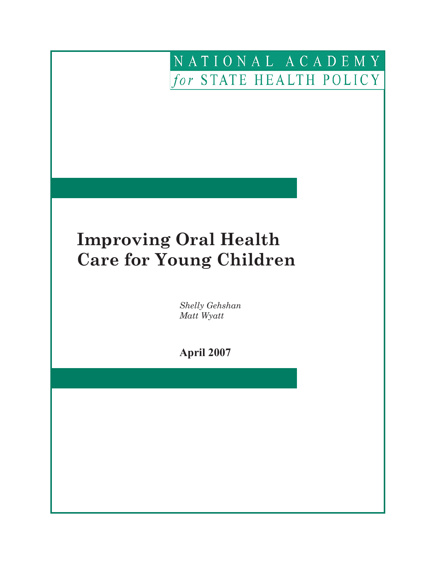## NATIONAL ACADEMY for STATE HEALTH POLICY

# **Improving Oral Health Care for Young Children**

 

 *Shelly Gehshan Matt Wyatt*

 **April 2007**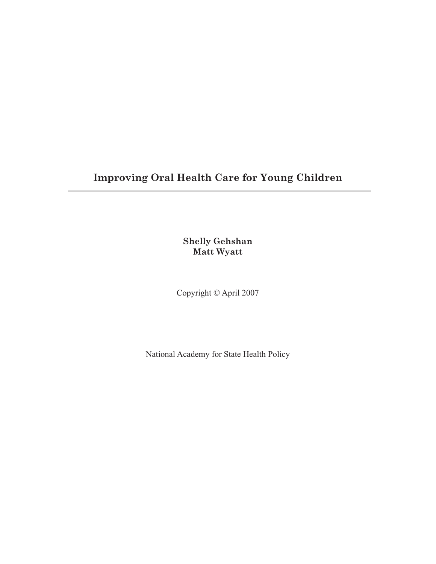### **Improving Oral Health Care for Young Children**

**Shelly Gehshan Matt Wyatt**

Copyright © April 2007

National Academy for State Health Policy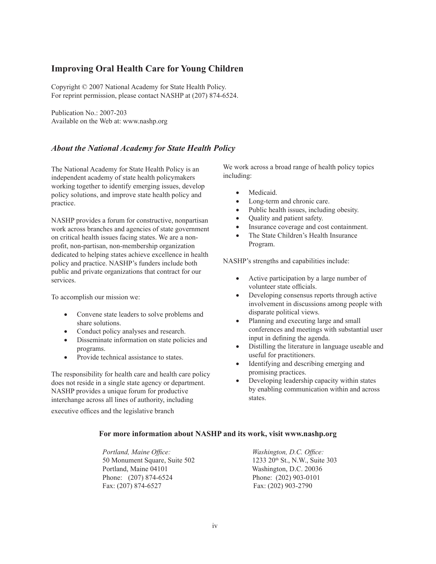### **Improving Oral Health Care for Young Children**

Copyright © 2007 National Academy for State Health Policy. For reprint permission, please contact NASHP at (207) 874-6524.

Publication No.: 2007-203 Available on the Web at: www.nashp.org

### *About the National Academy for State Health Policy*

The National Academy for State Health Policy is an independent academy of state health policymakers working together to identify emerging issues, develop policy solutions, and improve state health policy and practice.

NASHP provides a forum for constructive, nonpartisan work across branches and agencies of state government on critical health issues facing states. We are a nonprofit, non-partisan, non-membership organization dedicated to helping states achieve excellence in health policy and practice. NASHP's funders include both public and private organizations that contract for our services.

To accomplish our mission we:

- Convene state leaders to solve problems and share solutions.
- Conduct policy analyses and research.
- Disseminate information on state policies and programs.
- Provide technical assistance to states.

The responsibility for health care and health care policy does not reside in a single state agency or department. NASHP provides a unique forum for productive interchange across all lines of authority, including

executive offices and the legislative branch

We work across a broad range of health policy topics including:

- Medicaid.
- Long-term and chronic care.
- Public health issues, including obesity.
- Quality and patient safety.
- Insurance coverage and cost containment.
- The State Children's Health Insurance Program.

NASHP's strengths and capabilities include:

- Active participation by a large number of volunteer state officials.
- Developing consensus reports through active involvement in discussions among people with disparate political views.
- Planning and executing large and small conferences and meetings with substantial user input in defining the agenda.
- Distilling the literature in language useable and useful for practitioners.
- • Identifying and describing emerging and promising practices.
- Developing leadership capacity within states by enabling communication within and across states.

### **For more information about NASHP and its work, visit www.nashp.org**

 *Portland, Maine Office: Washington, D.C. Office:* 50 Monument Square, Suite 502 1233 20th St., N.W., Suite 303 Portland, Maine 04101 Washington, D.C. 20036 Phone: (207) 874-6524 Phone: (202) 903-0101 Fax: (207) 874-6527 Fax: (202) 903-2790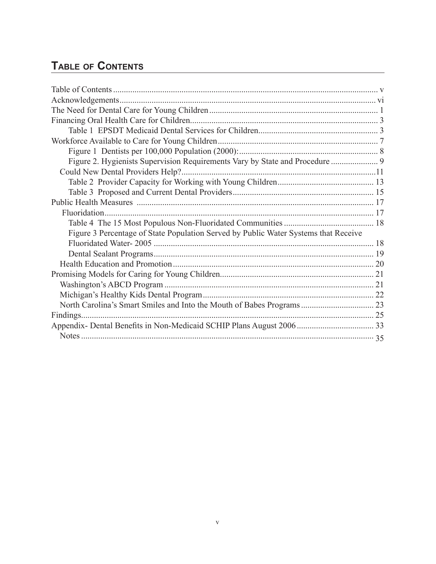### **Table of Contents**

| Figure 2. Hygienists Supervision Requirements Vary by State and Procedure  9        |  |
|-------------------------------------------------------------------------------------|--|
|                                                                                     |  |
|                                                                                     |  |
|                                                                                     |  |
|                                                                                     |  |
|                                                                                     |  |
|                                                                                     |  |
| Figure 3 Percentage of State Population Served by Public Water Systems that Receive |  |
|                                                                                     |  |
|                                                                                     |  |
|                                                                                     |  |
|                                                                                     |  |
|                                                                                     |  |
|                                                                                     |  |
|                                                                                     |  |
| Findings.                                                                           |  |
|                                                                                     |  |
|                                                                                     |  |
|                                                                                     |  |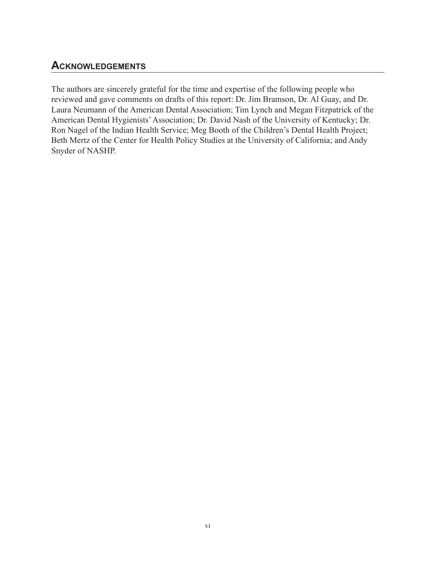### **Acknowledgements**

The authors are sincerely grateful for the time and expertise of the following people who reviewed and gave comments on drafts of this report: Dr. Jim Bramson, Dr. Al Guay, and Dr. Laura Neumann of the American Dental Association; Tim Lynch and Megan Fitzpatrick of the American Dental Hygienists'Association; Dr. David Nash of the University of Kentucky; Dr. Ron Nagel of the Indian Health Service; Meg Booth of the Children's Dental Health Project; Beth Mertz of the Center for Health Policy Studies at the University of California; and Andy Snyder of NASHP.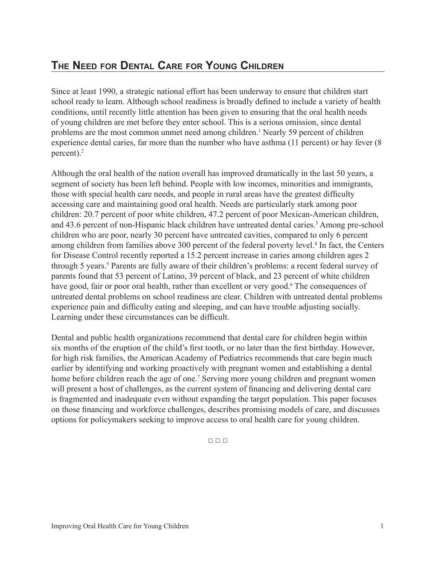### **The Need for Dental Care for Young Children**

Since at least 1990, a strategic national effort has been underway to ensure that children start school ready to learn. Although school readiness is broadly defined to include a variety of health conditions, until recently little attention has been given to ensuring that the oral health needs of young children are met before they enter school. This is a serious omission, since dental problems are the most common unmet need among children.<sup>1</sup> Nearly 59 percent of children experience dental caries, far more than the number who have asthma (11 percent) or hay fever (8 percent).2

Although the oral health of the nation overall has improved dramatically in the last 50 years, a segment of society has been left behind. People with low incomes, minorities and immigrants, those with special health care needs, and people in rural areas have the greatest difficulty accessing care and maintaining good oral health. Needs are particularly stark among poor children: 20.7 percent of poor white children, 47.2 percent of poor Mexican-American children, and 43.6 percent of non-Hispanic black children have untreated dental caries.<sup>3</sup> Among pre-school children who are poor, nearly 30 percent have untreated cavities, compared to only 6 percent among children from families above 300 percent of the federal poverty level.<sup>4</sup> In fact, the Centers for Disease Control recently reported a 15.2 percent increase in caries among children ages 2 through 5 years.<sup>5</sup> Parents are fully aware of their children's problems: a recent federal survey of parents found that 53 percent of Latino, 39 percent of black, and 23 percent of white children have good, fair or poor oral health, rather than excellent or very good.<sup>6</sup> The consequences of untreated dental problems on school readiness are clear. Children with untreated dental problems experience pain and difficulty eating and sleeping, and can have trouble adjusting socially. Learning under these circumstances can be difficult.

Dental and public health organizations recommend that dental care for children begin within six months of the eruption of the child's first tooth, or no later than the first birthday. However, for high risk families, the American Academy of Pediatrics recommends that care begin much earlier by identifying and working proactively with pregnant women and establishing a dental home before children reach the age of one.<sup>7</sup> Serving more young children and pregnant women will present a host of challenges, as the current system of financing and delivering dental care is fragmented and inadequate even without expanding the target population. This paper focuses on those financing and workforce challenges, describes promising models of care, and discusses options for policymakers seeking to improve access to oral health care for young children.

 $\Box \Box \Box$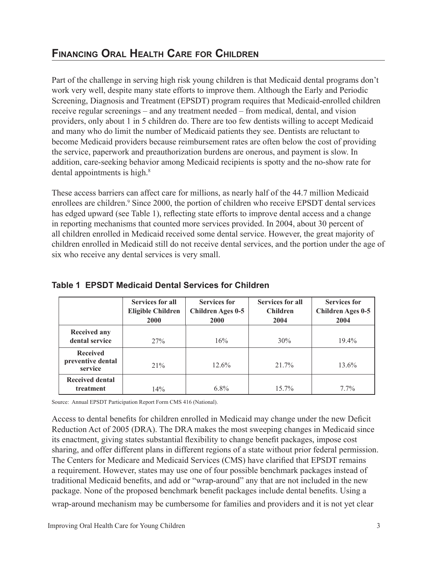### **Financing Oral Health Care for Children**

Part of the challenge in serving high risk young children is that Medicaid dental programs don't work very well, despite many state efforts to improve them. Although the Early and Periodic Screening, Diagnosis and Treatment (EPSDT) program requires that Medicaid-enrolled children receive regular screenings – and any treatment needed – from medical, dental, and vision providers, only about 1 in 5 children do. There are too few dentists willing to accept Medicaid and many who do limit the number of Medicaid patients they see. Dentists are reluctant to become Medicaid providers because reimbursement rates are often below the cost of providing the service, paperwork and preauthorization burdens are onerous, and payment is slow. In addition, care-seeking behavior among Medicaid recipients is spotty and the no-show rate for dental appointments is high.<sup>8</sup>

These access barriers can affect care for millions, as nearly half of the 44.7 million Medicaid enrollees are children.<sup>9</sup> Since 2000, the portion of children who receive EPSDT dental services has edged upward (see Table 1), reflecting state efforts to improve dental access and a change in reporting mechanisms that counted more services provided. In 2004, about 30 percent of all children enrolled in Medicaid received some dental service. However, the great majority of children enrolled in Medicaid still do not receive dental services, and the portion under the age of six who receive any dental services is very small.

|                              | <b>Services for all</b>  | <b>Services for</b> | Services for all | <b>Services for</b> |
|------------------------------|--------------------------|---------------------|------------------|---------------------|
|                              | <b>Eligible Children</b> | Children Ages 0-5   | <b>Children</b>  | Children Ages 0-5   |
|                              | 2000                     | 2000                | 2004             | 2004                |
| <b>Received any</b>          |                          |                     |                  |                     |
| dental service               | 27%                      | 16%                 | 30%              | $19.4\%$            |
| <b>Received</b>              |                          |                     |                  |                     |
| preventive dental<br>service | 21%                      | 12.6%               | 21.7%            | 13.6%               |
| <b>Received dental</b>       |                          |                     |                  |                     |
| treatment                    | 14%                      | $6.8\%$             | $15.7\%$         | $7.7\%$             |

### **Table 1 EPSDT Medicaid Dental Services for Children**

Source: Annual EPSDT Participation Report Form CMS 416 (National).

Access to dental benefits for children enrolled in Medicaid may change under the new Deficit Reduction Act of 2005 (DRA). The DRA makes the most sweeping changes in Medicaid since its enactment, giving states substantial flexibility to change benefit packages, impose cost sharing, and offer different plans in different regions of a state without prior federal permission. The Centers for Medicare and Medicaid Services (CMS) have clarified that EPSDT remains a requirement. However, states may use one of four possible benchmark packages instead of traditional Medicaid benefits, and add or "wrap-around" any that are not included in the new package. None of the proposed benchmark benefit packages include dental benefits. Using a wrap-around mechanism may be cumbersome for families and providers and it is not yet clear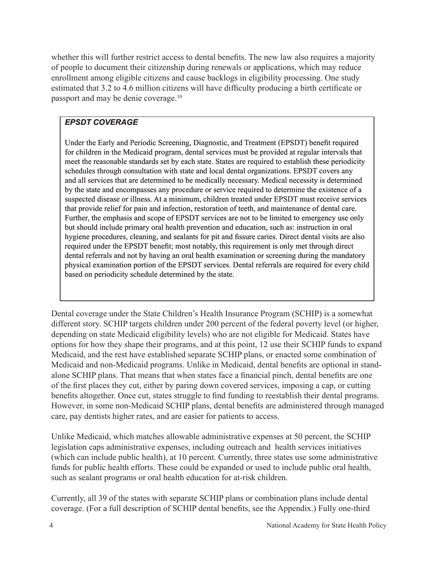whether this will further restrict access to dental benefits. The new law also requires a majority of people to document their citizenship during renewals or applications, which may reduce enrollment among eligible citizens and cause backlogs in eligibility processing. One study estimated that 3.2 to 4.6 million citizens will have difficulty producing a birth certificate or passport and may be denie coverage.10

### *EPSDT COVERAGE*

Under the Early and Periodic Screening, Diagnostic, and Treatment (EPSDT) benefit required for children in the Medicaid program, dental services must be provided at regular intervals that meet the reasonable standards set by each state. States are required to establish these periodicity schedules through consultation with state and local dental organizations. EPSDT covers any and all services that are determined to be medically necessary. Medical necessity is determined by the state and encompasses any procedure or service required to determine the existence of a suspected disease or illness. At a minimum, children treated under EPSDT must receive services that provide relief for pain and infection, restoration of teeth, and maintenance of dental care. Further, the emphasis and scope of EPSDT services are not to be limited to emergency use only but should include primary oral health prevention and education, such as: instruction in oral hygiene procedures, cleaning, and sealants for pit and fissure caries. Direct dental visits are also required under the EPSDT benefit; most notably, this requirement is only met through direct dental referrals and not by having an oral health examination or screening during the mandatory physical examination portion of the EPSDT services. Dental referrals are required for every child based on periodicity schedule determined by the state.

Dental coverage under the State Children's Health Insurance Program (SCHIP) is a somewhat different story. SCHIP targets children under 200 percent of the federal poverty level (or higher, depending on state Medicaid eligibility levels) who are not eligible for Medicaid. States have options for how they shape their programs, and at this point, 12 use their SCHIP funds to expand Medicaid, and the rest have established separate SCHIP plans, or enacted some combination of Medicaid and non-Medicaid programs. Unlike in Medicaid, dental benefits are optional in standalone SCHIP plans. That means that when states face a financial pinch, dental benefits are one of the first places they cut, either by paring down covered services, imposing a cap, or cutting benefits altogether. Once cut, states struggle to find funding to reestablish their dental programs. However, in some non-Medicaid SCHIP plans, dental benefits are administered through managed care, pay dentists higher rates, and are easier for patients to access.

Unlike Medicaid, which matches allowable administrative expenses at 50 percent, the SCHIP legislation caps administrative expenses, including outreach and health services initiatives (which can include public health), at 10 percent. Currently, three states use some administrative funds for public health efforts. These could be expanded or used to include public oral health, such as sealant programs or oral health education for at-risk children.

Currently, all 39 of the states with separate SCHIP plans or combination plans include dental coverage. (For a full description of SCHIP dental benefits, see the Appendix.) Fully one-third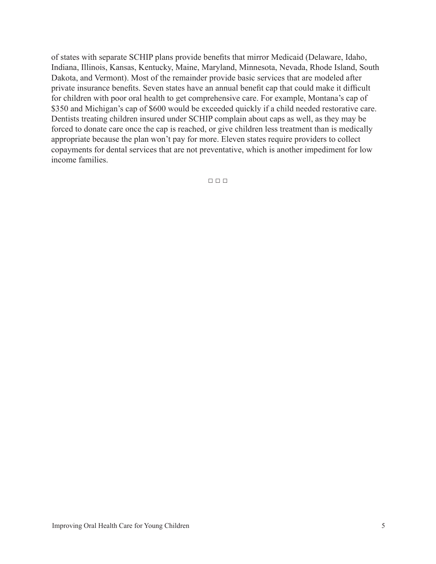of states with separate SCHIP plans provide benefits that mirror Medicaid (Delaware, Idaho, Indiana, Illinois, Kansas, Kentucky, Maine, Maryland, Minnesota, Nevada, Rhode Island, South Dakota, and Vermont). Most of the remainder provide basic services that are modeled after private insurance benefits. Seven states have an annual benefit cap that could make it difficult for children with poor oral health to get comprehensive care. For example, Montana's cap of \$350 and Michigan's cap of \$600 would be exceeded quickly if a child needed restorative care. Dentists treating children insured under SCHIP complain about caps as well, as they may be forced to donate care once the cap is reached, or give children less treatment than is medically appropriate because the plan won't pay for more. Eleven states require providers to collect copayments for dental services that are not preventative, which is another impediment for low income families.

□ □ □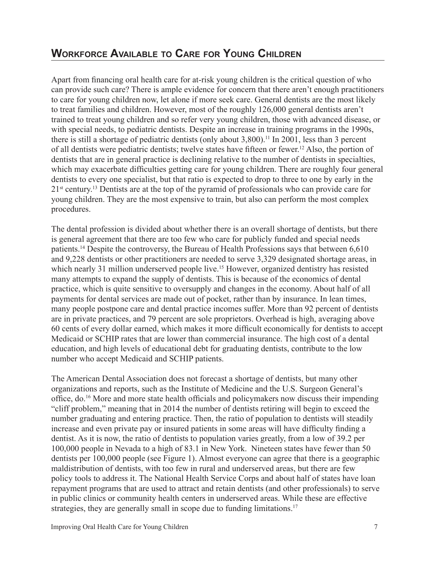### **Workforce Available to Care for Young Children**

Apart from financing oral health care for at-risk young children is the critical question of who can provide such care? There is ample evidence for concern that there aren't enough practitioners to care for young children now, let alone if more seek care. General dentists are the most likely to treat families and children. However, most of the roughly 126,000 general dentists aren't trained to treat young children and so refer very young children, those with advanced disease, or with special needs, to pediatric dentists. Despite an increase in training programs in the 1990s, there is still a shortage of pediatric dentists (only about  $3,800$ ).<sup>11</sup> In 2001, less than 3 percent of all dentists were pediatric dentists; twelve states have fifteen or fewer. <sup>12</sup> Also, the portion of dentists that are in general practice is declining relative to the number of dentists in specialties, which may exacerbate difficulties getting care for young children. There are roughly four general dentists to every one specialist, but that ratio is expected to drop to three to one by early in the 21<sup>st</sup> century.<sup>13</sup> Dentists are at the top of the pyramid of professionals who can provide care for young children. They are the most expensive to train, but also can perform the most complex procedures.

The dental profession is divided about whether there is an overall shortage of dentists, but there is general agreement that there are too few who care for publicly funded and special needs patients.14 Despite the controversy, the Bureau of Health Professions says that between 6,610 and 9,228 dentists or other practitioners are needed to serve 3,329 designated shortage areas, in which nearly 31 million underserved people live.<sup>15</sup> However, organized dentistry has resisted many attempts to expand the supply of dentists. This is because of the economics of dental practice, which is quite sensitive to oversupply and changes in the economy. About half of all payments for dental services are made out of pocket, rather than by insurance. In lean times, many people postpone care and dental practice incomes suffer. More than 92 percent of dentists are in private practices, and 79 percent are sole proprietors. Overhead is high, averaging above 60 cents of every dollar earned, which makes it more difficult economically for dentists to accept Medicaid or SCHIP rates that are lower than commercial insurance. The high cost of a dental education, and high levels of educational debt for graduating dentists, contribute to the low number who accept Medicaid and SCHIP patients.

The American Dental Association does not forecast a shortage of dentists, but many other organizations and reports, such as the Institute of Medicine and the U.S. Surgeon General's office, do.<sup>16</sup> More and more state health officials and policymakers now discuss their impending "cliff problem," meaning that in 2014 the number of dentists retiring will begin to exceed the number graduating and entering practice. Then, the ratio of population to dentists will steadily increase and even private pay or insured patients in some areas will have difficulty finding a dentist. As it is now, the ratio of dentists to population varies greatly, from a low of 39.2 per 100,000 people in Nevada to a high of 83.1 in New York. Nineteen states have fewer than 50 dentists per 100,000 people (see Figure 1). Almost everyone can agree that there is a geographic maldistribution of dentists, with too few in rural and underserved areas, but there are few policy tools to address it. The National Health Service Corps and about half of states have loan repayment programs that are used to attract and retain dentists (and other professionals) to serve in public clinics or community health centers in underserved areas. While these are effective strategies, they are generally small in scope due to funding limitations.<sup>17</sup>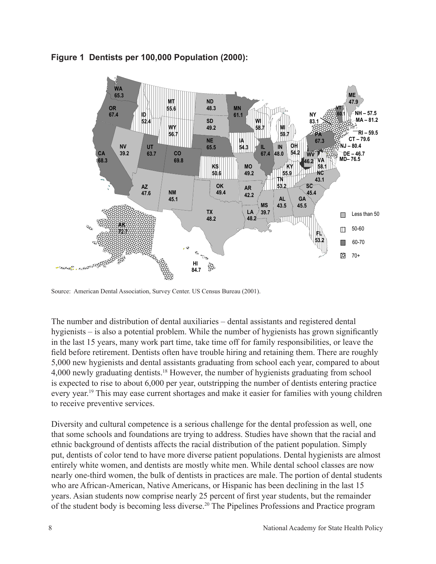

### **Figure 1 Dentists per 100,000 Population (2000):**

Source: American Dental Association, Survey Center. US Census Bureau (2001).

The number and distribution of dental auxiliaries – dental assistants and registered dental hygienists – is also a potential problem. While the number of hygienists has grown significantly in the last 15 years, many work part time, take time off for family responsibilities, or leave the field before retirement. Dentists often have trouble hiring and retaining them. There are roughly 5,000 new hygienists and dental assistants graduating from school each year, compared to about 4,000 newly graduating dentists.18 However, the number of hygienists graduating from school is expected to rise to about 6,000 per year, outstripping the number of dentists entering practice every year.<sup>19</sup> This may ease current shortages and make it easier for families with young children to receive preventive services.

Diversity and cultural competence is a serious challenge for the dental profession as well, one that some schools and foundations are trying to address. Studies have shown that the racial and ethnic background of dentists affects the racial distribution of the patient population. Simply put, dentists of color tend to have more diverse patient populations. Dental hygienists are almost entirely white women, and dentists are mostly white men. While dental school classes are now nearly one-third women, the bulk of dentists in practices are male. The portion of dental students who are African-American, Native Americans, or Hispanic has been declining in the last 15 years. Asian students now comprise nearly 25 percent of first year students, but the remainder of the student body is becoming less diverse.20 The Pipelines Professions and Practice program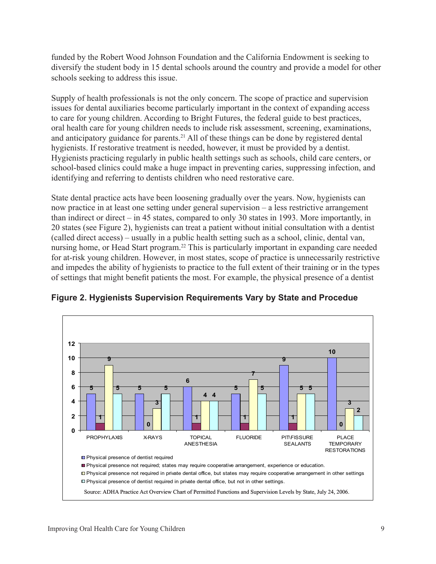funded by the Robert Wood Johnson Foundation and the California Endowment is seeking to diversify the student body in 15 dental schools around the country and provide a model for other schools seeking to address this issue.

Supply of health professionals is not the only concern. The scope of practice and supervision issues for dental auxiliaries become particularly important in the context of expanding access to care for young children. According to Bright Futures, the federal guide to best practices, oral health care for young children needs to include risk assessment, screening, examinations, and anticipatory guidance for parents.<sup>21</sup> All of these things can be done by registered dental hygienists. If restorative treatment is needed, however, it must be provided by a dentist. Hygienists practicing regularly in public health settings such as schools, child care centers, or school-based clinics could make a huge impact in preventing caries, suppressing infection, and identifying and referring to dentists children who need restorative care.

State dental practice acts have been loosening gradually over the years. Now, hygienists can now practice in at least one setting under general supervision – a less restrictive arrangement than indirect or direct – in 45 states, compared to only 30 states in 1993. More importantly, in 20 states (see Figure 2), hygienists can treat a patient without initial consultation with a dentist (called direct access) – usually in a public health setting such as a school, clinic, dental van, nursing home, or Head Start program.22 This is particularly important in expanding care needed for at-risk young children. However, in most states, scope of practice is unnecessarily restrictive and impedes the ability of hygienists to practice to the full extent of their training or in the types of settings that might benefit patients the most. For example, the physical presence of a dentist



**Figure 2. Hygienists Supervision Requirements Vary by State and Procedue**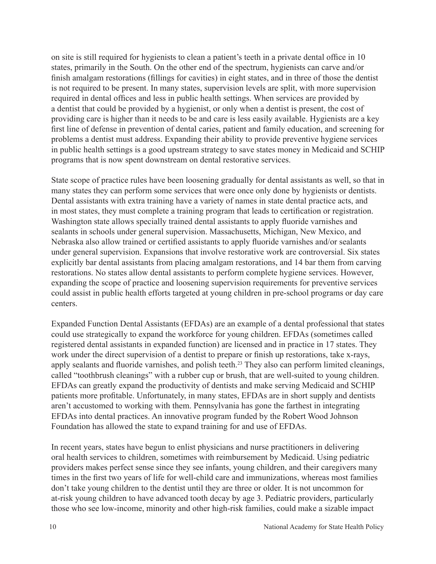on site is still required for hygienists to clean a patient's teeth in a private dental office in 10 states, primarily in the South. On the other end of the spectrum, hygienists can carve and/or finish amalgam restorations (fillings for cavities) in eight states, and in three of those the dentist is not required to be present. In many states, supervision levels are split, with more supervision required in dental offices and less in public health settings. When services are provided by a dentist that could be provided by a hygienist, or only when a dentist is present, the cost of providing care is higher than it needs to be and care is less easily available. Hygienists are a key first line of defense in prevention of dental caries, patient and family education, and screening for problems a dentist must address. Expanding their ability to provide preventive hygiene services in public health settings is a good upstream strategy to save states money in Medicaid and SCHIP programs that is now spent downstream on dental restorative services.

State scope of practice rules have been loosening gradually for dental assistants as well, so that in many states they can perform some services that were once only done by hygienists or dentists. Dental assistants with extra training have a variety of names in state dental practice acts, and in most states, they must complete a training program that leads to certification or registration. Washington state allows specially trained dental assistants to apply fluoride varnishes and sealants in schools under general supervision. Massachusetts, Michigan, New Mexico, and Nebraska also allow trained or certified assistants to apply fluoride varnishes and/or sealants under general supervision. Expansions that involve restorative work are controversial. Six states explicitly bar dental assistants from placing amalgam restorations, and 14 bar them from carving restorations. No states allow dental assistants to perform complete hygiene services. However, expanding the scope of practice and loosening supervision requirements for preventive services could assist in public health efforts targeted at young children in pre-school programs or day care centers.

Expanded Function Dental Assistants (EFDAs) are an example of a dental professional that states could use strategically to expand the workforce for young children. EFDAs (sometimes called registered dental assistants in expanded function) are licensed and in practice in 17 states. They work under the direct supervision of a dentist to prepare or finish up restorations, take x-rays, apply sealants and fluoride varnishes, and polish teeth.<sup>23</sup> They also can perform limited cleanings, called "toothbrush cleanings" with a rubber cup or brush, that are well-suited to young children. EFDAs can greatly expand the productivity of dentists and make serving Medicaid and SCHIP patients more profitable. Unfortunately, in many states, EFDAs are in short supply and dentists aren't accustomed to working with them. Pennsylvania has gone the farthest in integrating EFDAs into dental practices. An innovative program funded by the Robert Wood Johnson Foundation has allowed the state to expand training for and use of EFDAs.

In recent years, states have begun to enlist physicians and nurse practitioners in delivering oral health services to children, sometimes with reimbursement by Medicaid. Using pediatric providers makes perfect sense since they see infants, young children, and their caregivers many times in the first two years of life for well-child care and immunizations, whereas most families don't take young children to the dentist until they are three or older. It is not uncommon for at-risk young children to have advanced tooth decay by age 3. Pediatric providers, particularly those who see low-income, minority and other high-risk families, could make a sizable impact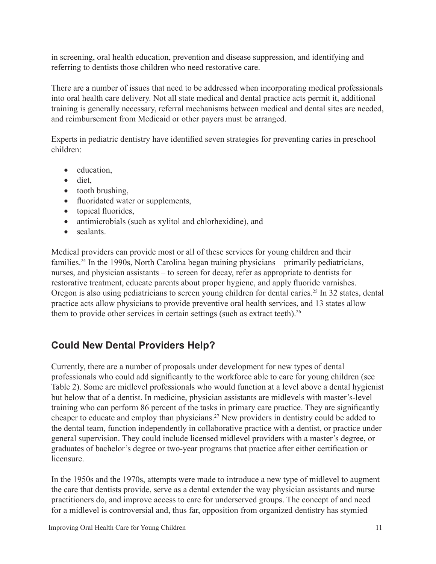in screening, oral health education, prevention and disease suppression, and identifying and referring to dentists those children who need restorative care.

There are a number of issues that need to be addressed when incorporating medical professionals into oral health care delivery. Not all state medical and dental practice acts permit it, additional training is generally necessary, referral mechanisms between medical and dental sites are needed, and reimbursement from Medicaid or other payers must be arranged.

Experts in pediatric dentistry have identified seven strategies for preventing caries in preschool children:

- education,
- diet,
- tooth brushing,
- fluoridated water or supplements,
- topical fluorides,
- antimicrobials (such as xylitol and chlorhexidine), and
- sealants

Medical providers can provide most or all of these services for young children and their families.<sup>24</sup> In the 1990s, North Carolina began training physicians – primarily pediatricians, nurses, and physician assistants – to screen for decay, refer as appropriate to dentists for restorative treatment, educate parents about proper hygiene, and apply fluoride varnishes. Oregon is also using pediatricians to screen young children for dental caries.<sup>25</sup> In 32 states, dental practice acts allow physicians to provide preventive oral health services, and 13 states allow them to provide other services in certain settings (such as extract teeth).<sup>26</sup>

### **Could New Dental Providers Help?**

Currently, there are a number of proposals under development for new types of dental professionals who could add significantly to the workforce able to care for young children (see Table 2). Some are midlevel professionals who would function at a level above a dental hygienist but below that of a dentist. In medicine, physician assistants are midlevels with master's-level training who can perform 86 percent of the tasks in primary care practice. They are significantly cheaper to educate and employ than physicians.27 New providers in dentistry could be added to the dental team, function independently in collaborative practice with a dentist, or practice under general supervision. They could include licensed midlevel providers with a master's degree, or graduates of bachelor's degree or two-year programs that practice after either certification or licensure.

In the 1950s and the 1970s, attempts were made to introduce a new type of midlevel to augment the care that dentists provide, serve as a dental extender the way physician assistants and nurse practitioners do, and improve access to care for underserved groups. The concept of and need for a midlevel is controversial and, thus far, opposition from organized dentistry has stymied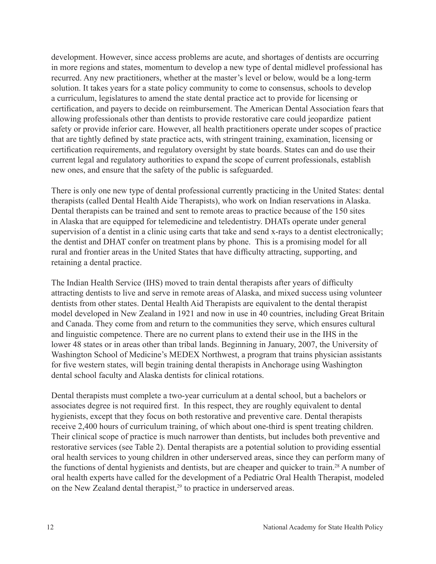development. However, since access problems are acute, and shortages of dentists are occurring in more regions and states, momentum to develop a new type of dental midlevel professional has recurred. Any new practitioners, whether at the master's level or below, would be a long-term solution. It takes years for a state policy community to come to consensus, schools to develop a curriculum, legislatures to amend the state dental practice act to provide for licensing or certification, and payers to decide on reimbursement. The American Dental Association fears that allowing professionals other than dentists to provide restorative care could jeopardize patient safety or provide inferior care. However, all health practitioners operate under scopes of practice that are tightly defined by state practice acts, with stringent training, examination, licensing or certification requirements, and regulatory oversight by state boards. States can and do use their current legal and regulatory authorities to expand the scope of current professionals, establish new ones, and ensure that the safety of the public is safeguarded.

There is only one new type of dental professional currently practicing in the United States: dental therapists (called Dental Health Aide Therapists), who work on Indian reservations in Alaska. Dental therapists can be trained and sent to remote areas to practice because of the 150 sites in Alaska that are equipped for telemedicine and teledentistry. DHATs operate under general supervision of a dentist in a clinic using carts that take and send x-rays to a dentist electronically; the dentist and DHAT confer on treatment plans by phone. This is a promising model for all rural and frontier areas in the United States that have difficulty attracting, supporting, and retaining a dental practice.

The Indian Health Service (IHS) moved to train dental therapists after years of difficulty attracting dentists to live and serve in remote areas of Alaska, and mixed success using volunteer dentists from other states. Dental Health Aid Therapists are equivalent to the dental therapist model developed in New Zealand in 1921 and now in use in 40 countries, including Great Britain and Canada. They come from and return to the communities they serve, which ensures cultural and linguistic competence. There are no current plans to extend their use in the IHS in the lower 48 states or in areas other than tribal lands. Beginning in January, 2007, the University of Washington School of Medicine's MEDEX Northwest, a program that trains physician assistants for five western states, will begin training dental therapists in Anchorage using Washington dental school faculty and Alaska dentists for clinical rotations.

Dental therapists must complete a two-year curriculum at a dental school, but a bachelors or associates degree is not required first. In this respect, they are roughly equivalent to dental hygienists, except that they focus on both restorative and preventive care. Dental therapists receive 2,400 hours of curriculum training, of which about one-third is spent treating children. Their clinical scope of practice is much narrower than dentists, but includes both preventive and restorative services (see Table 2). Dental therapists are a potential solution to providing essential oral health services to young children in other underserved areas, since they can perform many of the functions of dental hygienists and dentists, but are cheaper and quicker to train.<sup>28</sup> A number of oral health experts have called for the development of a Pediatric Oral Health Therapist, modeled on the New Zealand dental therapist, $2<sup>9</sup>$  to practice in underserved areas.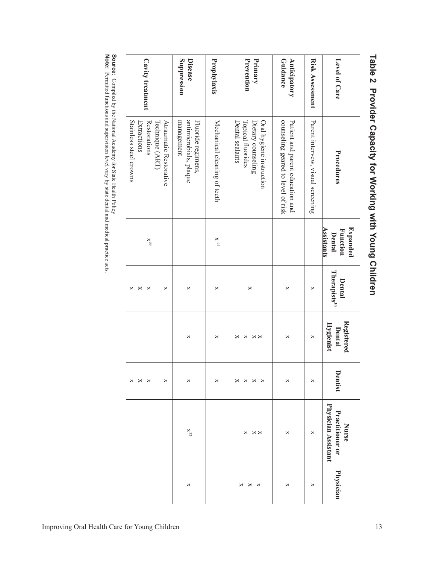| Level of Care            | Procedures                                                                                         | Expanded<br><b>Assistants</b><br>Function<br><b>Dental</b> | Therapists <sup>30</sup><br>Dental | Registered<br>Hygienist<br><b>Dental</b> | Dentist                              | Physician Assistant<br>Practitioner or<br>Nurse | Physician   |
|--------------------------|----------------------------------------------------------------------------------------------------|------------------------------------------------------------|------------------------------------|------------------------------------------|--------------------------------------|-------------------------------------------------|-------------|
| <b>Risk Assessment</b>   | Parent intervew, visual screening                                                                  |                                                            | ×                                  | ×                                        | ×                                    | ×                                               | ×           |
| Anticipatory<br>Guidance | counseling geared to level of risk<br>Patient and parent education and                             |                                                            | ×                                  | ×                                        | ×                                    | ×                                               | ×           |
| Prevention<br>Primary    | Topical fluorides<br>Dietary counseling<br>Oral hygiene instruction<br>Dental sealants             |                                                            | ×                                  | ×<br>$\times$<br>×                       | ×<br>×<br>×<br>×                     | ×<br>$\times \times$                            | ×<br>×<br>× |
| Prophylaxis              | Mechanical cleaning of teeth                                                                       | $\mathbf{X}$ 31                                            | ×                                  | ×                                        | ×                                    |                                                 |             |
| Suppression<br>Disease   | antimicrobials, plaque<br>management<br>Fluoride regimens,                                         |                                                            | $\times$                           | ×                                        | ×                                    | $X^{32}$                                        | $\times$    |
| Cavity treatment         | Stainless steel crowns<br>Atraumatic Restorative<br>Extractions<br>Restorations<br>Technique (ART) | $X^{33}$                                                   | ×<br>×<br>×<br>×                   |                                          | ×<br>×<br>×<br>$\boldsymbol{\times}$ |                                                 |             |

# Table 2 Provider Capacity for Working with Young Children **Table 2 Provider Capacity for Working with Young Children**

**Source:** Compiled হ the National Academy for State Health Policy **Note:** Permitted functions and supervision level vary by state dental and medical practice

acts.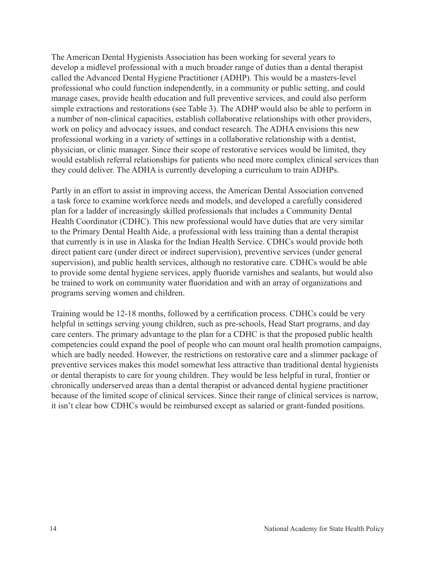The American Dental Hygienists Association has been working for several years to develop a midlevel professional with a much broader range of duties than a dental therapist called the Advanced Dental Hygiene Practitioner (ADHP). This would be a masters-level professional who could function independently, in a community or public setting, and could manage cases, provide health education and full preventive services, and could also perform simple extractions and restorations (see Table 3). The ADHP would also be able to perform in a number of non-clinical capacities, establish collaborative relationships with other providers, work on policy and advocacy issues, and conduct research. The ADHA envisions this new professional working in a variety of settings in a collaborative relationship with a dentist, physician, or clinic manager. Since their scope of restorative services would be limited, they would establish referral relationships for patients who need more complex clinical services than they could deliver. The ADHA is currently developing a curriculum to train ADHPs.

Partly in an effort to assist in improving access, the American Dental Association convened a task force to examine workforce needs and models, and developed a carefully considered plan for a ladder of increasingly skilled professionals that includes a Community Dental Health Coordinator (CDHC). This new professional would have duties that are very similar to the Primary Dental Health Aide, a professional with less training than a dental therapist that currently is in use in Alaska for the Indian Health Service. CDHCs would provide both direct patient care (under direct or indirect supervision), preventive services (under general supervision), and public health services, although no restorative care. CDHCs would be able to provide some dental hygiene services, apply fluoride varnishes and sealants, but would also be trained to work on community water fluoridation and with an array of organizations and programs serving women and children.

Training would be 12-18 months, followed by a certification process. CDHCs could be very helpful in settings serving young children, such as pre-schools, Head Start programs, and day care centers. The primary advantage to the plan for a CDHC is that the proposed public health competencies could expand the pool of people who can mount oral health promotion campaigns, which are badly needed. However, the restrictions on restorative care and a slimmer package of preventive services makes this model somewhat less attractive than traditional dental hygienists or dental therapists to care for young children. They would be less helpful in rural, frontier or chronically underserved areas than a dental therapist or advanced dental hygiene practitioner because of the limited scope of clinical services. Since their range of clinical services is narrow, it isn't clear how CDHCs would be reimbursed except as salaried or grant-funded positions.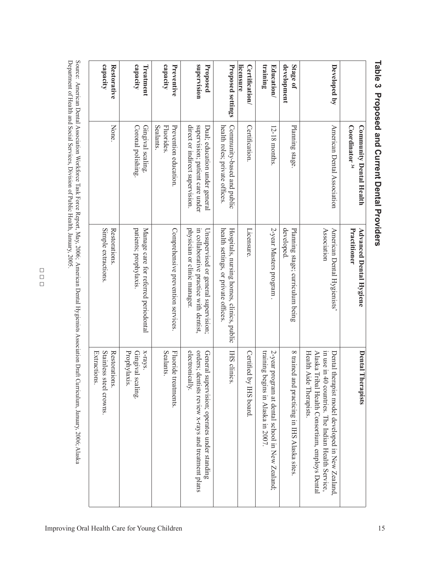|                                    | Coordinator <sup>34</sup><br>Community Dental Health                                                | Advanced Dental Hygiene<br>Practitioner                                                                         | Dental Therapists                                                                                                                                                                    |
|------------------------------------|-----------------------------------------------------------------------------------------------------|-----------------------------------------------------------------------------------------------------------------|--------------------------------------------------------------------------------------------------------------------------------------------------------------------------------------|
| Developed by                       | American Dental Association                                                                         | Association<br>American Dental Hygienists'                                                                      | in use in 40 countries. The Indian Health Service,<br>Health Aide Therapists.<br>Alaska Tribal Health Consortium, employs Dental<br>Dental therapist model developed in New Zealand, |
| development<br>Stage of            | Planning stage.                                                                                     | developed<br>Planning stage; curriculum being                                                                   | 8 trained and practicing in IHS Alaska sites                                                                                                                                         |
| training<br>Education/             | 12-18 months.                                                                                       | 2-year Masters program                                                                                          | training<br>2-year program at dental school in New Zealand;<br>begins in Alaska in 2007.                                                                                             |
| licensure<br><b>Certification/</b> | Certification.                                                                                      | Licensure.                                                                                                      | Certified by IHS board                                                                                                                                                               |
| Proposed settings                  | health roles; private offices<br>Community-based and public                                         | Hospitals, nursing homes, clinics, public<br>health settings, or private offices                                | IHS clinics                                                                                                                                                                          |
| supervision<br>Proposed            | direct or indirect supervision.<br>supervision; patient care under<br>Dual; education under general | physician or clinic manager.<br>in collaborative practice with dentist,<br>Unsupervised or general supervision; | electronically.<br>orders; dentists review x-rays and treatment plans<br>General supervision; operates under standing                                                                |
| capacity<br>Preventive             | Sealants<br><b>Fluorides</b><br>Prevention education.                                               | Comprehensive prevention services.                                                                              | <b>Sealants.</b><br>Fluoride<br>treatments.                                                                                                                                          |
| capacity<br>Treatment              | Gingival scaling.<br>Coronal polishing.                                                             | patients; prophylaxis.<br>Manage care for referred periodontal                                                  | x-rays.<br>Prophylaxis.<br>Gingival<br>scaling.                                                                                                                                      |
| capacity<br><b>Restorative</b>     | None.                                                                                               | Simple extractions<br>Restorations                                                                              | Stainless steel crowns.<br>Restorations.<br>Extractions.                                                                                                                             |
|                                    |                                                                                                     |                                                                                                                 |                                                                                                                                                                                      |

# Table 3 Proposed and Current Dental Providers **Table 3 Proposed and Current Dental Providers**

Source: American Dental Association Workforce Task Force Report, May, 2006; American Dental Hygienists Association Draft Curriculum, January, 2006; Alaska Department of Health and Social Services, Division of Public Health, January, 2005.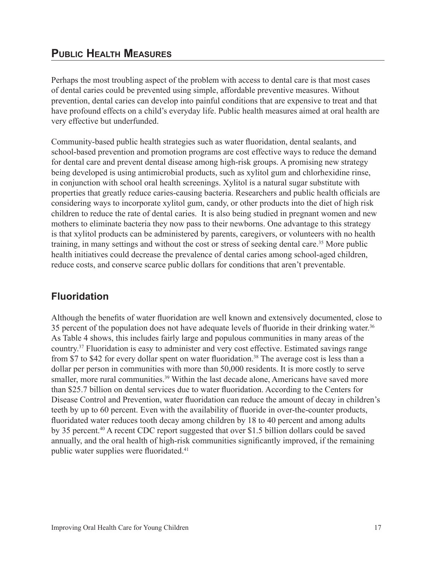### **Public Health Measures**

Perhaps the most troubling aspect of the problem with access to dental care is that most cases of dental caries could be prevented using simple, affordable preventive measures. Without prevention, dental caries can develop into painful conditions that are expensive to treat and that have profound effects on a child's everyday life. Public health measures aimed at oral health are very effective but underfunded.

Community-based public health strategies such as water fluoridation, dental sealants, and school-based prevention and promotion programs are cost effective ways to reduce the demand for dental care and prevent dental disease among high-risk groups. A promising new strategy being developed is using antimicrobial products, such as xylitol gum and chlorhexidine rinse, in conjunction with school oral health screenings. Xylitol is a natural sugar substitute with properties that greatly reduce caries-causing bacteria. Researchers and public health officials are considering ways to incorporate xylitol gum, candy, or other products into the diet of high risk children to reduce the rate of dental caries. It is also being studied in pregnant women and new mothers to eliminate bacteria they now pass to their newborns. One advantage to this strategy is that xylitol products can be administered by parents, caregivers, or volunteers with no health training, in many settings and without the cost or stress of seeking dental care.<sup>35</sup> More public health initiatives could decrease the prevalence of dental caries among school-aged children, reduce costs, and conserve scarce public dollars for conditions that aren't preventable.

### **Fluoridation**

Although the benefits of water fluoridation are well known and extensively documented, close to 35 percent of the population does not have adequate levels of fluoride in their drinking water.<sup>36</sup> As Table 4 shows, this includes fairly large and populous communities in many areas of the country.37 Fluoridation is easy to administer and very cost effective. Estimated savings range from \$7 to \$42 for every dollar spent on water fluoridation.<sup>38</sup> The average cost is less than a dollar per person in communities with more than 50,000 residents. It is more costly to serve smaller, more rural communities.<sup>39</sup> Within the last decade alone, Americans have saved more than \$25.7 billion on dental services due to water fluoridation. According to the Centers for Disease Control and Prevention, water fluoridation can reduce the amount of decay in children's teeth by up to 60 percent. Even with the availability of fluoride in over-the-counter products, fluoridated water reduces tooth decay among children by 18 to 40 percent and among adults by 35 percent.<sup>40</sup> A recent CDC report suggested that over \$1.5 billion dollars could be saved annually, and the oral health of high-risk communities significantly improved, if the remaining public water supplies were fluoridated.41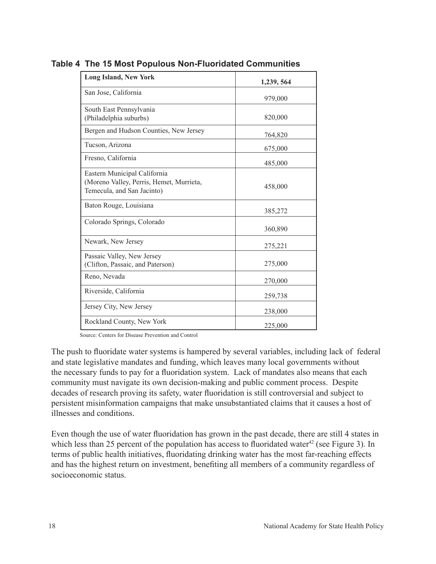| <b>Long Island, New York</b>                                                                           | 1,239, 564 |
|--------------------------------------------------------------------------------------------------------|------------|
| San Jose, California                                                                                   | 979,000    |
| South East Pennsylvania<br>(Philadelphia suburbs)                                                      | 820,000    |
| Bergen and Hudson Counties, New Jersey                                                                 | 764,820    |
| Tucson, Arizona                                                                                        | 675,000    |
| Fresno, California                                                                                     | 485,000    |
| Eastern Municipal California<br>(Moreno Valley, Perris, Hemet, Murrieta,<br>Temecula, and San Jacinto) | 458,000    |
| Baton Rouge, Louisiana                                                                                 | 385,272    |
| Colorado Springs, Colorado                                                                             | 360,890    |
| Newark, New Jersey                                                                                     | 275,221    |
| Passaic Valley, New Jersey<br>(Clifton, Passaic, and Paterson)                                         | 275,000    |
| Reno, Nevada                                                                                           | 270,000    |
| Riverside, California                                                                                  | 259,738    |
| Jersey City, New Jersey                                                                                | 238,000    |
| Rockland County, New York                                                                              | 225,000    |

**Table 4 The 15 Most Populous Non-Fluoridated Communities**

Source: Centers for Disease Prevention and Control

The push to fluoridate water systems is hampered by several variables, including lack of federal and state legislative mandates and funding, which leaves many local governments without the necessary funds to pay for a fluoridation system. Lack of mandates also means that each community must navigate its own decision-making and public comment process. Despite decades of research proving its safety, water fluoridation is still controversial and subject to persistent misinformation campaigns that make unsubstantiated claims that it causes a host of illnesses and conditions.

Even though the use of water fluoridation has grown in the past decade, there are still 4 states in which less than 25 percent of the population has access to fluoridated water<sup>42</sup> (see Figure 3). In terms of public health initiatives, fluoridating drinking water has the most far-reaching effects and has the highest return on investment, benefiting all members of a community regardless of socioeconomic status.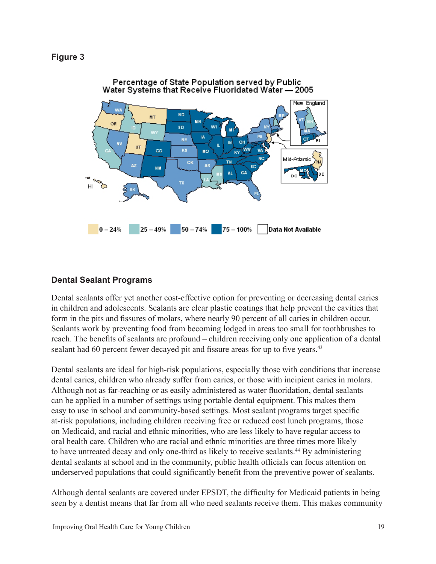

### **Dental Sealant Programs**

Dental sealants offer yet another cost-effective option for preventing or decreasing dental caries in children and adolescents. Sealants are clear plastic coatings that help prevent the cavities that form in the pits and fissures of molars, where nearly 90 percent of all caries in children occur. Sealants work by preventing food from becoming lodged in areas too small for toothbrushes to reach. The benefits of sealants are profound – children receiving only one application of a dental sealant had 60 percent fewer decayed pit and fissure areas for up to five years.<sup>43</sup>

Dental sealants are ideal for high-risk populations, especially those with conditions that increase dental caries, children who already suffer from caries, or those with incipient caries in molars. Although not as far-reaching or as easily administered as water fluoridation, dental sealants can be applied in a number of settings using portable dental equipment. This makes them easy to use in school and community-based settings. Most sealant programs target specific at-risk populations, including children receiving free or reduced cost lunch programs, those on Medicaid, and racial and ethnic minorities, who are less likely to have regular access to oral health care. Children who are racial and ethnic minorities are three times more likely to have untreated decay and only one-third as likely to receive sealants.<sup>44</sup> By administering dental sealants at school and in the community, public health officials can focus attention on underserved populations that could significantly benefit from the preventive power of sealants.

Although dental sealants are covered under EPSDT, the difficulty for Medicaid patients in being seen by a dentist means that far from all who need sealants receive them. This makes community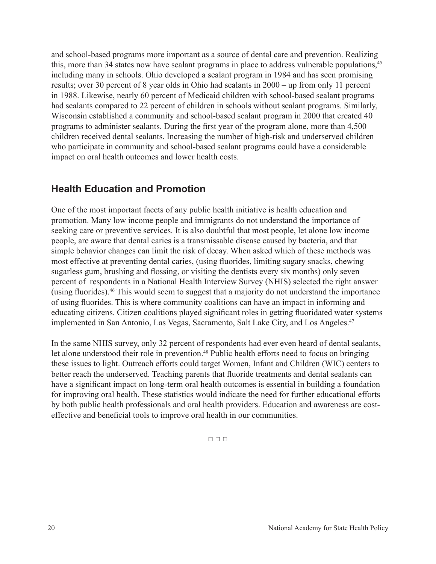and school-based programs more important as a source of dental care and prevention. Realizing this, more than 34 states now have sealant programs in place to address vulnerable populations.<sup>45</sup> including many in schools. Ohio developed a sealant program in 1984 and has seen promising results; over 30 percent of 8 year olds in Ohio had sealants in 2000 – up from only 11 percent in 1988. Likewise, nearly 60 percent of Medicaid children with school-based sealant programs had sealants compared to 22 percent of children in schools without sealant programs. Similarly, Wisconsin established a community and school-based sealant program in 2000 that created 40 programs to administer sealants. During the first year of the program alone, more than 4,500 children received dental sealants. Increasing the number of high-risk and underserved children who participate in community and school-based sealant programs could have a considerable impact on oral health outcomes and lower health costs.

### **Health Education and Promotion**

One of the most important facets of any public health initiative is health education and promotion. Many low income people and immigrants do not understand the importance of seeking care or preventive services. It is also doubtful that most people, let alone low income people, are aware that dental caries is a transmissable disease caused by bacteria, and that simple behavior changes can limit the risk of decay. When asked which of these methods was most effective at preventing dental caries, (using fluorides, limiting sugary snacks, chewing sugarless gum, brushing and flossing, or visiting the dentists every six months) only seven percent of respondents in a National Health Interview Survey (NHIS) selected the right answer (using fluorides).<sup>46</sup> This would seem to suggest that a majority do not understand the importance of using fluorides. This is where community coalitions can have an impact in informing and educating citizens. Citizen coalitions played significant roles in getting fluoridated water systems implemented in San Antonio, Las Vegas, Sacramento, Salt Lake City, and Los Angeles.<sup>47</sup>

In the same NHIS survey, only 32 percent of respondents had ever even heard of dental sealants, let alone understood their role in prevention.<sup>48</sup> Public health efforts need to focus on bringing these issues to light. Outreach efforts could target Women, Infant and Children (WIC) centers to better reach the underserved. Teaching parents that fluoride treatments and dental sealants can have a significant impact on long-term oral health outcomes is essential in building a foundation for improving oral health. These statistics would indicate the need for further educational efforts by both public health professionals and oral health providers. Education and awareness are costeffective and beneficial tools to improve oral health in our communities.

□ □ □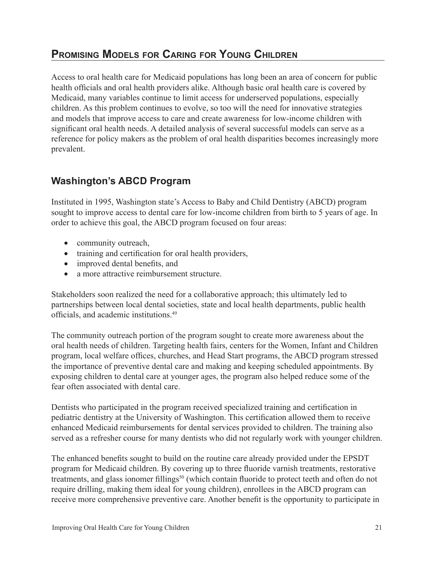### **Promising Models for Caring for Young Children**

Access to oral health care for Medicaid populations has long been an area of concern for public health officials and oral health providers alike. Although basic oral health care is covered by Medicaid, many variables continue to limit access for underserved populations, especially children. As this problem continues to evolve, so too will the need for innovative strategies and models that improve access to care and create awareness for low-income children with significant oral health needs. A detailed analysis of several successful models can serve as a reference for policy makers as the problem of oral health disparities becomes increasingly more prevalent.

### **Washington's ABCD Program**

Instituted in 1995, Washington state's Access to Baby and Child Dentistry (ABCD) program sought to improve access to dental care for low-income children from birth to 5 years of age. In order to achieve this goal, the ABCD program focused on four areas:

- community outreach,
- • training and certification for oral health providers,
- improved dental benefits, and
- a more attractive reimbursement structure.

Stakeholders soon realized the need for a collaborative approach; this ultimately led to partnerships between local dental societies, state and local health departments, public health officials, and academic institutions.<sup>49</sup>

The community outreach portion of the program sought to create more awareness about the oral health needs of children. Targeting health fairs, centers for the Women, Infant and Children program, local welfare offices, churches, and Head Start programs, the ABCD program stressed the importance of preventive dental care and making and keeping scheduled appointments. By exposing children to dental care at younger ages, the program also helped reduce some of the fear often associated with dental care.

Dentists who participated in the program received specialized training and certification in pediatric dentistry at the University of Washington. This certification allowed them to receive enhanced Medicaid reimbursements for dental services provided to children. The training also served as a refresher course for many dentists who did not regularly work with younger children.

The enhanced benefits sought to build on the routine care already provided under the EPSDT program for Medicaid children. By covering up to three fluoride varnish treatments, restorative treatments, and glass ionomer fillings<sup>50</sup> (which contain fluoride to protect teeth and often do not require drilling, making them ideal for young children), enrollees in the ABCD program can receive more comprehensive preventive care. Another benefit is the opportunity to participate in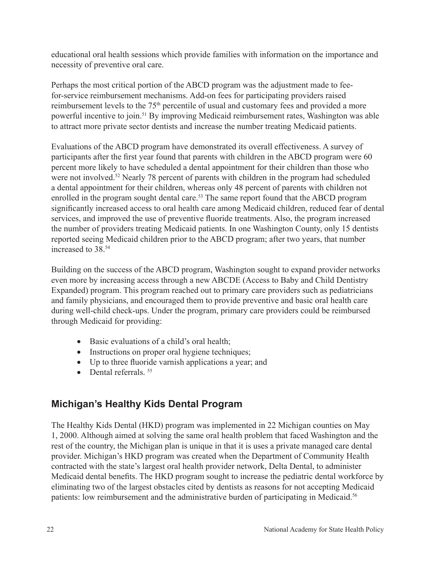educational oral health sessions which provide families with information on the importance and necessity of preventive oral care.

Perhaps the most critical portion of the ABCD program was the adjustment made to feefor-service reimbursement mechanisms. Add-on fees for participating providers raised reimbursement levels to the 75th percentile of usual and customary fees and provided a more powerful incentive to join.51 By improving Medicaid reimbursement rates, Washington was able to attract more private sector dentists and increase the number treating Medicaid patients.

Evaluations of the ABCD program have demonstrated its overall effectiveness. A survey of participants after the first year found that parents with children in the ABCD program were 60 percent more likely to have scheduled a dental appointment for their children than those who were not involved.<sup>52</sup> Nearly 78 percent of parents with children in the program had scheduled a dental appointment for their children, whereas only 48 percent of parents with children not enrolled in the program sought dental care.<sup>53</sup> The same report found that the ABCD program significantly increased access to oral health care among Medicaid children, reduced fear of dental services, and improved the use of preventive fluoride treatments. Also, the program increased the number of providers treating Medicaid patients. In one Washington County, only 15 dentists reported seeing Medicaid children prior to the ABCD program; after two years, that number increased to 38 <sup>54</sup>

Building on the success of the ABCD program, Washington sought to expand provider networks even more by increasing access through a new ABCDE (Access to Baby and Child Dentistry Expanded) program. This program reached out to primary care providers such as pediatricians and family physicians, and encouraged them to provide preventive and basic oral health care during well-child check-ups. Under the program, primary care providers could be reimbursed through Medicaid for providing:

- Basic evaluations of a child's oral health;
- Instructions on proper oral hygiene techniques;
- Up to three fluoride varnish applications a year; and
- Dental referrals  $55$

### **Michigan's Healthy Kids Dental Program**

The Healthy Kids Dental (HKD) program was implemented in 22 Michigan counties on May 1, 2000. Although aimed at solving the same oral health problem that faced Washington and the rest of the country, the Michigan plan is unique in that it is uses a private managed care dental provider. Michigan's HKD program was created when the Department of Community Health contracted with the state's largest oral health provider network, Delta Dental, to administer Medicaid dental benefits. The HKD program sought to increase the pediatric dental workforce by eliminating two of the largest obstacles cited by dentists as reasons for not accepting Medicaid patients: low reimbursement and the administrative burden of participating in Medicaid.<sup>56</sup>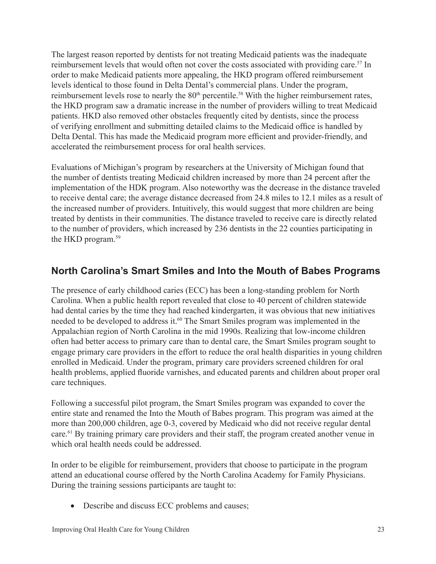The largest reason reported by dentists for not treating Medicaid patients was the inadequate reimbursement levels that would often not cover the costs associated with providing care.<sup>57</sup> In order to make Medicaid patients more appealing, the HKD program offered reimbursement levels identical to those found in Delta Dental's commercial plans. Under the program, reimbursement levels rose to nearly the 80<sup>th</sup> percentile.<sup>58</sup> With the higher reimbursement rates, the HKD program saw a dramatic increase in the number of providers willing to treat Medicaid patients. HKD also removed other obstacles frequently cited by dentists, since the process of verifying enrollment and submitting detailed claims to the Medicaid office is handled by Delta Dental. This has made the Medicaid program more efficient and provider-friendly, and accelerated the reimbursement process for oral health services.

Evaluations of Michigan's program by researchers at the University of Michigan found that the number of dentists treating Medicaid children increased by more than 24 percent after the implementation of the HDK program. Also noteworthy was the decrease in the distance traveled to receive dental care; the average distance decreased from 24.8 miles to 12.1 miles as a result of the increased number of providers. Intuitively, this would suggest that more children are being treated by dentists in their communities. The distance traveled to receive care is directly related to the number of providers, which increased by 236 dentists in the 22 counties participating in the HKD program.59

### **North Carolina's Smart Smiles and Into the Mouth of Babes Programs**

The presence of early childhood caries (ECC) has been a long-standing problem for North Carolina. When a public health report revealed that close to 40 percent of children statewide had dental caries by the time they had reached kindergarten, it was obvious that new initiatives needed to be developed to address it.<sup>60</sup> The Smart Smiles program was implemented in the Appalachian region of North Carolina in the mid 1990s. Realizing that low-income children often had better access to primary care than to dental care, the Smart Smiles program sought to engage primary care providers in the effort to reduce the oral health disparities in young children enrolled in Medicaid. Under the program, primary care providers screened children for oral health problems, applied fluoride varnishes, and educated parents and children about proper oral care techniques.

Following a successful pilot program, the Smart Smiles program was expanded to cover the entire state and renamed the Into the Mouth of Babes program. This program was aimed at the more than 200,000 children, age 0-3, covered by Medicaid who did not receive regular dental care.<sup>61</sup> By training primary care providers and their staff, the program created another venue in which oral health needs could be addressed.

In order to be eligible for reimbursement, providers that choose to participate in the program attend an educational course offered by the North Carolina Academy for Family Physicians. During the training sessions participants are taught to:

• Describe and discuss ECC problems and causes;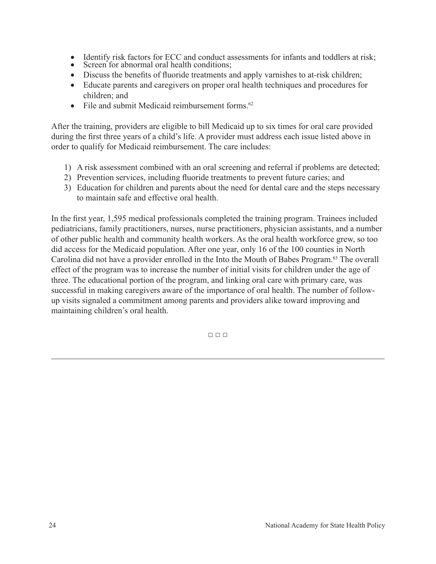- Identify risk factors for ECC and conduct assessments for infants and toddlers at risk;
- Screen for abnormal oral health conditions;
- Discuss the benefits of fluoride treatments and apply varnishes to at-risk children;
- Educate parents and caregivers on proper oral health techniques and procedures for children; and
- File and submit Medicaid reimbursement forms.<sup>62</sup>

After the training, providers are eligible to bill Medicaid up to six times for oral care provided during the first three years of a child's life. A provider must address each issue listed above in order to qualify for Medicaid reimbursement. The care includes:

- 1) A risk assessment combined with an oral screening and referral if problems are detected;
- 2) Prevention services, including fluoride treatments to prevent future caries; and
- 3) Education for children and parents about the need for dental care and the steps necessary to maintain safe and effective oral health.

In the first year, 1,595 medical professionals completed the training program. Trainees included pediatricians, family practitioners, nurses, nurse practitioners, physician assistants, and a number of other public health and community health workers. As the oral health workforce grew, so too did access for the Medicaid population. After one year, only 16 of the 100 counties in North Carolina did not have a provider enrolled in the Into the Mouth of Babes Program.63 The overall effect of the program was to increase the number of initial visits for children under the age of three. The educational portion of the program, and linking oral care with primary care, was successful in making caregivers aware of the importance of oral health. The number of followup visits signaled a commitment among parents and providers alike toward improving and maintaining children's oral health.

□ □ □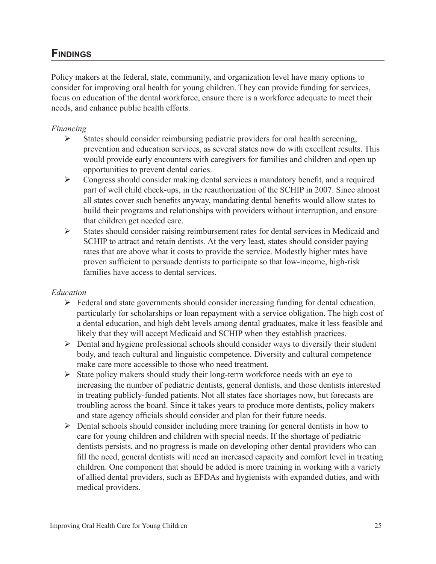### **Findings**

Policy makers at the federal, state, community, and organization level have many options to consider for improving oral health for young children. They can provide funding for services, focus on education of the dental workforce, ensure there is a workforce adequate to meet their needs, and enhance public health efforts.

### *Financing*

- $\triangleright$  States should consider reimbursing pediatric providers for oral health screening, prevention and education services, as several states now do with excellent results. This would provide early encounters with caregivers for families and children and open up opportunities to prevent dental caries.
- $\triangleright$  Congress should consider making dental services a mandatory benefit, and a required part of well child check-ups, in the reauthorization of the SCHIP in 2007. Since almost all states cover such benefits anyway, mandating dental benefits would allow states to build their programs and relationships with providers without interruption, and ensure that children get needed care.
- $\triangleright$  States should consider raising reimbursement rates for dental services in Medicaid and SCHIP to attract and retain dentists. At the very least, states should consider paying rates that are above what it costs to provide the service. Modestly higher rates have proven sufficient to persuade dentists to participate so that low-income, high-risk families have access to dental services.

### *Education*

- $\triangleright$  Federal and state governments should consider increasing funding for dental education, particularly for scholarships or loan repayment with a service obligation. The high cost of a dental education, and high debt levels among dental graduates, make it less feasible and likely that they will accept Medicaid and SCHIP when they establish practices.
- $\triangleright$  Dental and hygiene professional schools should consider ways to diversify their student body, and teach cultural and linguistic competence. Diversity and cultural competence make care more accessible to those who need treatment.
- $\triangleright$  State policy makers should study their long-term workforce needs with an eye to increasing the number of pediatric dentists, general dentists, and those dentists interested in treating publicly-funded patients. Not all states face shortages now, but forecasts are troubling across the board. Since it takes years to produce more dentists, policy makers and state agency officials should consider and plan for their future needs.
- $\triangleright$  Dental schools should consider including more training for general dentists in how to care for young children and children with special needs. If the shortage of pediatric dentists persists, and no progress is made on developing other dental providers who can fill the need, general dentists will need an increased capacity and comfort level in treating children. One component that should be added is more training in working with a variety of allied dental providers, such as EFDAs and hygienists with expanded duties, and with medical providers.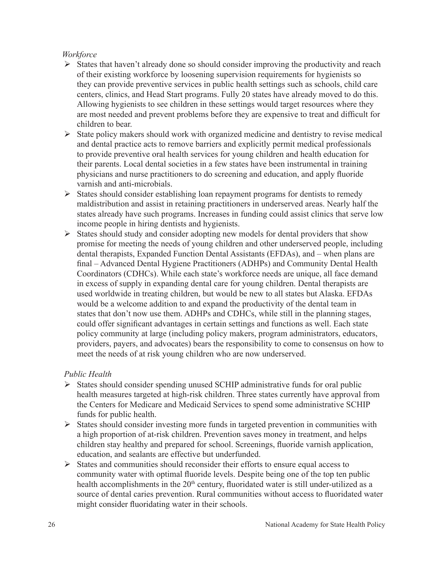### *Workforce*

- $\triangleright$  States that haven't already done so should consider improving the productivity and reach of their existing workforce by loosening supervision requirements for hygienists so they can provide preventive services in public health settings such as schools, child care centers, clinics, and Head Start programs. Fully 20 states have already moved to do this. Allowing hygienists to see children in these settings would target resources where they are most needed and prevent problems before they are expensive to treat and difficult for children to bear.
- $\triangleright$  State policy makers should work with organized medicine and dentistry to revise medical and dental practice acts to remove barriers and explicitly permit medical professionals to provide preventive oral health services for young children and health education for their parents. Local dental societies in a few states have been instrumental in training physicians and nurse practitioners to do screening and education, and apply fluoride varnish and anti-microbials.
- $\triangleright$  States should consider establishing loan repayment programs for dentists to remedy maldistribution and assist in retaining practitioners in underserved areas. Nearly half the states already have such programs. Increases in funding could assist clinics that serve low income people in hiring dentists and hygienists.
- $\triangleright$  States should study and consider adopting new models for dental providers that show promise for meeting the needs of young children and other underserved people, including dental therapists, Expanded Function Dental Assistants (EFDAs), and – when plans are final – Advanced Dental Hygiene Practitioners (ADHPs) and Community Dental Health Coordinators (CDHCs). While each state's workforce needs are unique, all face demand in excess of supply in expanding dental care for young children. Dental therapists are used worldwide in treating children, but would be new to all states but Alaska. EFDAs would be a welcome addition to and expand the productivity of the dental team in states that don't now use them. ADHPs and CDHCs, while still in the planning stages, could offer significant advantages in certain settings and functions as well. Each state policy community at large (including policy makers, program administrators, educators, providers, payers, and advocates) bears the responsibility to come to consensus on how to meet the needs of at risk young children who are now underserved.

### *Public Health*

- $\triangleright$  States should consider spending unused SCHIP administrative funds for oral public health measures targeted at high-risk children. Three states currently have approval from the Centers for Medicare and Medicaid Services to spend some administrative SCHIP funds for public health.
- $\triangleright$  States should consider investing more funds in targeted prevention in communities with a high proportion of at-risk children. Prevention saves money in treatment, and helps children stay healthy and prepared for school. Screenings, fluoride varnish application, education, and sealants are effective but underfunded.
- $\triangleright$  States and communities should reconsider their efforts to ensure equal access to community water with optimal fluoride levels. Despite being one of the top ten public health accomplishments in the 20<sup>th</sup> century, fluoridated water is still under-utilized as a source of dental caries prevention. Rural communities without access to fluoridated water might consider fluoridating water in their schools.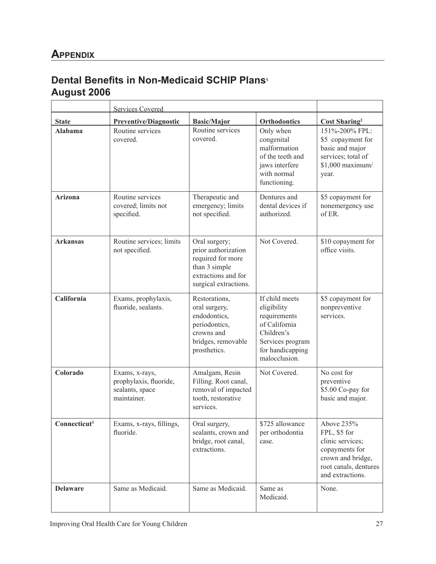### **Dental Benefits in Non-Medicaid SCHIP Plans<sup>1</sup> August 2006**

|                          | <b>Services Covered</b>                                                    |                                                                                                                            |                                                                                                                                       |                                                                                                                                    |
|--------------------------|----------------------------------------------------------------------------|----------------------------------------------------------------------------------------------------------------------------|---------------------------------------------------------------------------------------------------------------------------------------|------------------------------------------------------------------------------------------------------------------------------------|
| <b>State</b>             | <b>Preventive/Diagnostic</b>                                               | <b>Basic/Major</b>                                                                                                         | <b>Orthodontics</b>                                                                                                                   | <b>Cost Sharing</b> <sup>2</sup>                                                                                                   |
| Alabama                  | Routine services<br>covered.                                               | Routine services<br>covered.                                                                                               | Only when<br>congenital<br>malformation<br>of the teeth and<br>jaws interfere<br>with normal<br>functioning.                          | 151%-200% FPL:<br>\$5 copayment for<br>basic and major<br>services; total of<br>\$1,000 maximum/<br>year.                          |
| <b>Arizona</b>           | Routine services<br>covered; limits not<br>specified.                      | Therapeutic and<br>emergency; limits<br>not specified.                                                                     | Dentures and<br>dental devices if<br>authorized.                                                                                      | \$5 copayment for<br>nonemergency use<br>of ER.                                                                                    |
| <b>Arkansas</b>          | Routine services; limits<br>not specified.                                 | Oral surgery;<br>prior authorization<br>required for more<br>than 3 simple<br>extractions and for<br>surgical extractions. | Not Covered.                                                                                                                          | \$10 copayment for<br>office visits.                                                                                               |
| California               | Exams, prophylaxis,<br>fluoride, sealants.                                 | Restorations,<br>oral surgery,<br>endodontics,<br>periodontics,<br>crowns and<br>bridges, removable<br>prosthetics.        | If child meets<br>eligibility<br>requirements<br>of California<br>Children's<br>Services program<br>for handicapping<br>malocclusion. | \$5 copayment for<br>nonpreventive<br>services.                                                                                    |
| Colorado                 | Exams, x-rays,<br>prophylaxis, fluoride,<br>sealants, space<br>maintainer. | Amalgam, Resin<br>Filling. Root canal,<br>removal of impacted<br>tooth, restorative<br>services.                           | Not Covered.                                                                                                                          | No cost for<br>preventive<br>\$5.00 Co-pay for<br>basic and major.                                                                 |
| Connecticut <sup>3</sup> | Exams, x-rays, fillings,<br>fluoride.                                      | Oral surgery,<br>sealants, crown and<br>bridge, root canal,<br>extractions.                                                | \$725 allowance<br>per orthodontia<br>case.                                                                                           | Above 235%<br>FPL, \$5 for<br>clinic services;<br>copayments for<br>crown and bridge,<br>root canals, dentures<br>and extractions. |
| <b>Delaware</b>          | Same as Medicaid.                                                          | Same as Medicaid.                                                                                                          | Same as<br>Medicaid.                                                                                                                  | None.                                                                                                                              |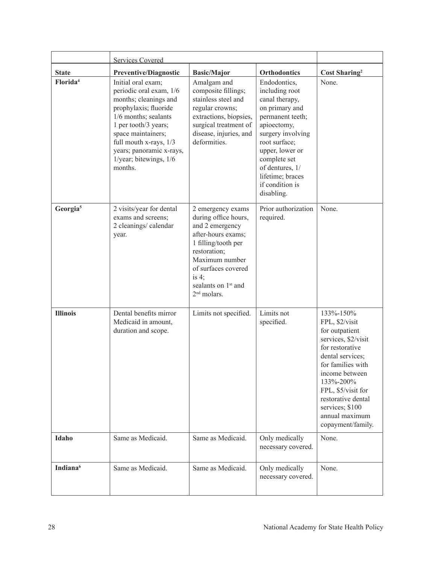|                      | <b>Services Covered</b>                                                                                                                                                                                                                                          |                                                                                                                                                                                                                                    |                                                                                                                                                                                                                                                        |                                                                                                                                                                                                                                                                       |
|----------------------|------------------------------------------------------------------------------------------------------------------------------------------------------------------------------------------------------------------------------------------------------------------|------------------------------------------------------------------------------------------------------------------------------------------------------------------------------------------------------------------------------------|--------------------------------------------------------------------------------------------------------------------------------------------------------------------------------------------------------------------------------------------------------|-----------------------------------------------------------------------------------------------------------------------------------------------------------------------------------------------------------------------------------------------------------------------|
| <b>State</b>         | <b>Preventive/Diagnostic</b>                                                                                                                                                                                                                                     | <b>Basic/Major</b>                                                                                                                                                                                                                 | Orthodontics                                                                                                                                                                                                                                           | <b>Cost Sharing</b> <sup>2</sup>                                                                                                                                                                                                                                      |
| Florida <sup>4</sup> | Initial oral exam;<br>periodic oral exam, 1/6<br>months; cleanings and<br>prophylaxis; fluoride<br>1/6 months; sealants<br>1 per tooth/3 years;<br>space maintainers;<br>full mouth x-rays, 1/3<br>years; panoramic x-rays,<br>1/year; bitewings, 1/6<br>months. | Amalgam and<br>composite fillings;<br>stainless steel and<br>regular crowns;<br>extractions, biopsies,<br>surgical treatment of<br>disease, injuries, and<br>deformities.                                                          | Endodontics,<br>including root<br>canal therapy,<br>on primary and<br>permanent teeth;<br>apioectomy,<br>surgery involving<br>root surface;<br>upper, lower or<br>complete set<br>of dentures, 1/<br>lifetime; braces<br>if condition is<br>disabling. | None.                                                                                                                                                                                                                                                                 |
| Georgia <sup>5</sup> | 2 visits/year for dental<br>exams and screens;<br>2 cleanings/ calendar<br>year.                                                                                                                                                                                 | 2 emergency exams<br>during office hours,<br>and 2 emergency<br>after-hours exams;<br>1 filling/tooth per<br>restoration;<br>Maximum number<br>of surfaces covered<br>is $4$ ;<br>sealants on 1 <sup>st</sup> and<br>$2nd$ molars. | Prior authorization<br>required.                                                                                                                                                                                                                       | None.                                                                                                                                                                                                                                                                 |
| <b>Illinois</b>      | Dental benefits mirror<br>Medicaid in amount,<br>duration and scope.                                                                                                                                                                                             | Limits not specified.                                                                                                                                                                                                              | Limits not<br>specified.                                                                                                                                                                                                                               | 133%-150%<br>FPL, \$2/visit<br>for outpatient<br>services, \$2/visit<br>for restorative<br>dental services;<br>for families with<br>income between<br>133%-200%<br>FPL, \$5/visit for<br>restorative dental<br>services; \$100<br>annual maximum<br>copayment/family. |
| Idaho                | Same as Medicaid.                                                                                                                                                                                                                                                | Same as Medicaid.                                                                                                                                                                                                                  | Only medically<br>necessary covered.                                                                                                                                                                                                                   | None.                                                                                                                                                                                                                                                                 |
| Indiana <sup>6</sup> | Same as Medicaid.                                                                                                                                                                                                                                                | Same as Medicaid.                                                                                                                                                                                                                  | Only medically<br>necessary covered.                                                                                                                                                                                                                   | None.                                                                                                                                                                                                                                                                 |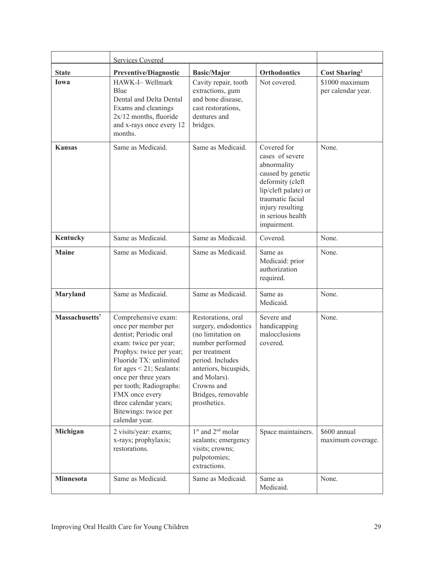|                            | <b>Services Covered</b>                                                                                                                                                                                                                                                                                                      |                                                                                                                                                                                                                       |                                                                                                                                                                                            |                                      |
|----------------------------|------------------------------------------------------------------------------------------------------------------------------------------------------------------------------------------------------------------------------------------------------------------------------------------------------------------------------|-----------------------------------------------------------------------------------------------------------------------------------------------------------------------------------------------------------------------|--------------------------------------------------------------------------------------------------------------------------------------------------------------------------------------------|--------------------------------------|
| <b>State</b>               | <b>Preventive/Diagnostic</b>                                                                                                                                                                                                                                                                                                 | <b>Basic/Major</b>                                                                                                                                                                                                    | <b>Orthodontics</b>                                                                                                                                                                        | <b>Cost Sharing</b> <sup>2</sup>     |
| Iowa                       | HAWK-I-Wellmark<br>Blue<br>Dental and Delta Dental<br>Exams and cleanings<br>$2x/12$ months, fluoride<br>and x-rays once every 12<br>months.                                                                                                                                                                                 | Cavity repair, tooth<br>extractions, gum<br>and bone disease,<br>cast restorations,<br>dentures and<br>bridges.                                                                                                       | Not covered.                                                                                                                                                                               | \$1000 maximum<br>per calendar year. |
| <b>Kansas</b>              | Same as Medicaid.                                                                                                                                                                                                                                                                                                            | Same as Medicaid.                                                                                                                                                                                                     | Covered for<br>cases of severe<br>abnormality<br>caused by genetic<br>deformity (cleft<br>lip/cleft palate) or<br>traumatic facial<br>injury resulting<br>in serious health<br>impairment. | None.                                |
| Kentucky                   | Same as Medicaid.                                                                                                                                                                                                                                                                                                            | Same as Medicaid.                                                                                                                                                                                                     | Covered.                                                                                                                                                                                   | None.                                |
| <b>Maine</b>               | Same as Medicaid.                                                                                                                                                                                                                                                                                                            | Same as Medicaid.                                                                                                                                                                                                     | Same as<br>Medicaid: prior<br>authorization<br>required.                                                                                                                                   | None.                                |
| Maryland                   | Same as Medicaid.                                                                                                                                                                                                                                                                                                            | Same as Medicaid.                                                                                                                                                                                                     | Same as<br>Medicaid.                                                                                                                                                                       | None.                                |
| Massachusetts <sup>7</sup> | Comprehensive exam:<br>once per member per<br>dentist; Periodic oral<br>exam: twice per year;<br>Prophys: twice per year;<br>Fluoride TX: unlimited<br>for ages $\leq$ 21; Sealants:<br>once per three years<br>per tooth; Radiographs:<br>FMX once every<br>three calendar years;<br>Bitewings: twice per<br>calendar year. | Restorations, oral<br>surgery, endodontics<br>(no limitation on<br>number performed<br>per treatment<br>period. Includes<br>anteriors, bicuspids,<br>and Molars).<br>Crowns and<br>Bridges, removable<br>prosthetics. | Severe and<br>handicapping<br>malocclusions<br>covered.                                                                                                                                    | None.                                |
| Michigan                   | 2 visits/year: exams;<br>x-rays; prophylaxis;<br>restorations.                                                                                                                                                                                                                                                               | 1 <sup>st</sup> and 2 <sup>nd</sup> molar<br>sealants; emergency<br>visits; crowns;<br>pulpotomies;<br>extractions.                                                                                                   | Space maintainers.                                                                                                                                                                         | \$600 annual<br>maximum coverage.    |
| Minnesota                  | Same as Medicaid.                                                                                                                                                                                                                                                                                                            | Same as Medicaid.                                                                                                                                                                                                     | Same as<br>Medicaid.                                                                                                                                                                       | None.                                |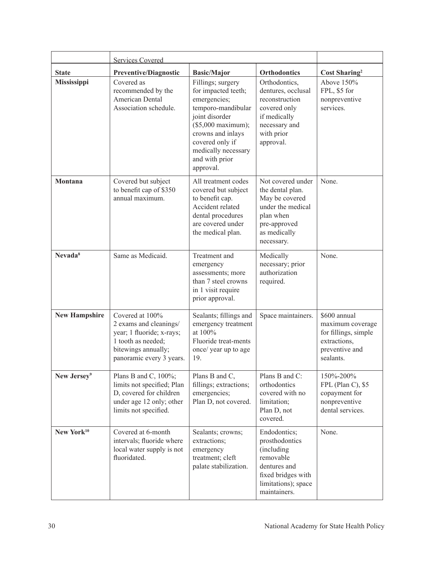|                         | <b>Services Covered</b>                                                                                                                         |                                                                                                                                                                                                                       |                                                                                                                                         |                                                                                                         |
|-------------------------|-------------------------------------------------------------------------------------------------------------------------------------------------|-----------------------------------------------------------------------------------------------------------------------------------------------------------------------------------------------------------------------|-----------------------------------------------------------------------------------------------------------------------------------------|---------------------------------------------------------------------------------------------------------|
| <b>State</b>            | <b>Preventive/Diagnostic</b>                                                                                                                    | <b>Basic/Major</b>                                                                                                                                                                                                    | <b>Orthodontics</b>                                                                                                                     | Cost Sharing <sup>2</sup>                                                                               |
| Mississippi             | Covered as<br>recommended by the<br><b>American Dental</b><br>Association schedule.                                                             | Fillings; surgery<br>for impacted teeth;<br>emergencies;<br>temporo-mandibular<br>joint disorder<br>$($5,000$ maximum);<br>crowns and inlays<br>covered only if<br>medically necessary<br>and with prior<br>approval. | Orthodontics,<br>dentures, occlusal<br>reconstruction<br>covered only<br>if medically<br>necessary and<br>with prior<br>approval.       | Above 150%<br>FPL, \$5 for<br>nonpreventive<br>services.                                                |
| Montana                 | Covered but subject<br>to benefit cap of \$350<br>annual maximum.                                                                               | All treatment codes<br>covered but subject<br>to benefit cap.<br>Accident related<br>dental procedures<br>are covered under<br>the medical plan.                                                                      | Not covered under<br>the dental plan.<br>May be covered<br>under the medical<br>plan when<br>pre-approved<br>as medically<br>necessary. | None.                                                                                                   |
| Nevada <sup>8</sup>     | Same as Medicaid.                                                                                                                               | Treatment and<br>emergency<br>assessments; more<br>than 7 steel crowns<br>in 1 visit require<br>prior approval.                                                                                                       | Medically<br>necessary; prior<br>authorization<br>required.                                                                             | None.                                                                                                   |
| <b>New Hampshire</b>    | Covered at 100%<br>2 exams and cleanings/<br>year; 1 fluoride; x-rays;<br>1 tooth as needed;<br>bitewings annually;<br>panoramic every 3 years. | Sealants; fillings and<br>emergency treatment<br>at 100%<br>Fluoride treat-ments<br>once/ year up to age<br>19.                                                                                                       | Space maintainers.                                                                                                                      | \$600 annual<br>maximum coverage<br>for fillings, simple<br>extractions,<br>preventive and<br>sealants. |
| New Jersey <sup>9</sup> | Plans B and C, 100%;<br>limits not specified; Plan<br>D, covered for children<br>under age 12 only; other<br>limits not specified.              | Plans B and C,<br>fillings; extractions;<br>emergencies;<br>Plan D, not covered.                                                                                                                                      | Plans B and C:<br>orthodontics<br>covered with no<br>limitation;<br>Plan D, not<br>covered.                                             | 150%-200%<br>FPL (Plan C), \$5<br>copayment for<br>nonpreventive<br>dental services.                    |
| New York <sup>10</sup>  | Covered at 6-month<br>intervals; fluoride where<br>local water supply is not<br>fluoridated.                                                    | Sealants; crowns;<br>extractions;<br>emergency<br>treatment; cleft<br>palate stabilization.                                                                                                                           | Endodontics;<br>prosthodontics<br>(including<br>removable<br>dentures and<br>fixed bridges with<br>limitations); space<br>maintainers.  | None.                                                                                                   |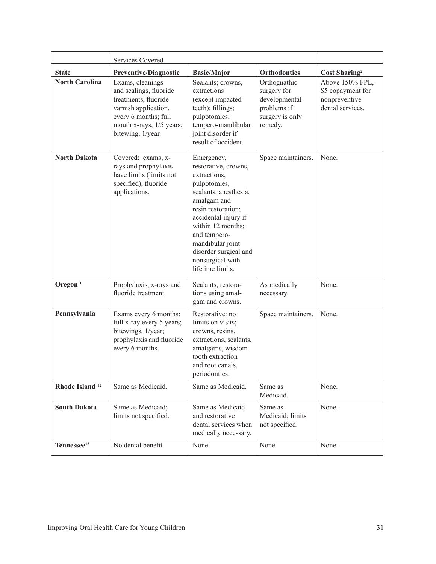|                            | <b>Services Covered</b>                                                                                                                                             |                                                                                                                                                                                                                                                                                    |                                                                                           |                                                                           |
|----------------------------|---------------------------------------------------------------------------------------------------------------------------------------------------------------------|------------------------------------------------------------------------------------------------------------------------------------------------------------------------------------------------------------------------------------------------------------------------------------|-------------------------------------------------------------------------------------------|---------------------------------------------------------------------------|
| <b>State</b>               | <b>Preventive/Diagnostic</b>                                                                                                                                        | <b>Basic/Major</b>                                                                                                                                                                                                                                                                 | <b>Orthodontics</b>                                                                       | <b>Cost Sharing</b> <sup>2</sup>                                          |
| <b>North Carolina</b>      | Exams, cleanings<br>and scalings, fluoride<br>treatments, fluoride<br>varnish application,<br>every 6 months; full<br>mouth x-rays, 1/5 years;<br>bitewing, 1/year. | Sealants; crowns,<br>extractions<br>(except impacted<br>teeth); fillings;<br>pulpotomies;<br>tempero-mandibular<br>joint disorder if<br>result of accident.                                                                                                                        | Orthognathic<br>surgery for<br>developmental<br>problems if<br>surgery is only<br>remedy. | Above 150% FPL,<br>\$5 copayment for<br>nonpreventive<br>dental services. |
| <b>North Dakota</b>        | Covered: exams, x-<br>rays and prophylaxis<br>have limits (limits not<br>specified); fluoride<br>applications.                                                      | Emergency,<br>restorative, crowns,<br>extractions,<br>pulpotomies,<br>sealants, anesthesia,<br>amalgam and<br>resin restoration;<br>accidental injury if<br>within 12 months;<br>and tempero-<br>mandibular joint<br>disorder surgical and<br>nonsurgical with<br>lifetime limits. | Space maintainers.                                                                        | None.                                                                     |
| Oregon <sup>11</sup>       | Prophylaxis, x-rays and<br>fluoride treatment.                                                                                                                      | Sealants, restora-<br>tions using amal-<br>gam and crowns.                                                                                                                                                                                                                         | As medically<br>necessary.                                                                | None.                                                                     |
| Pennsylvania               | Exams every 6 months;<br>full x-ray every 5 years;<br>bitewings, 1/year;<br>prophylaxis and fluoride<br>every 6 months.                                             | Restorative: no<br>limits on visits;<br>crowns, resins,<br>extractions, sealants,<br>amalgams, wisdom<br>tooth extraction<br>and root canals,<br>periodontics.                                                                                                                     | Space maintainers.                                                                        | None.                                                                     |
| Rhode Island <sup>12</sup> | Same as Medicaid.                                                                                                                                                   | Same as Medicaid.                                                                                                                                                                                                                                                                  | Same as<br>Medicaid.                                                                      | None.                                                                     |
| <b>South Dakota</b>        | Same as Medicaid;<br>limits not specified.                                                                                                                          | Same as Medicaid<br>and restorative<br>dental services when<br>medically necessary.                                                                                                                                                                                                | Same as<br>Medicaid; limits<br>not specified.                                             | None.                                                                     |
| Tennessee <sup>13</sup>    | No dental benefit.                                                                                                                                                  | None.                                                                                                                                                                                                                                                                              | None.                                                                                     | None.                                                                     |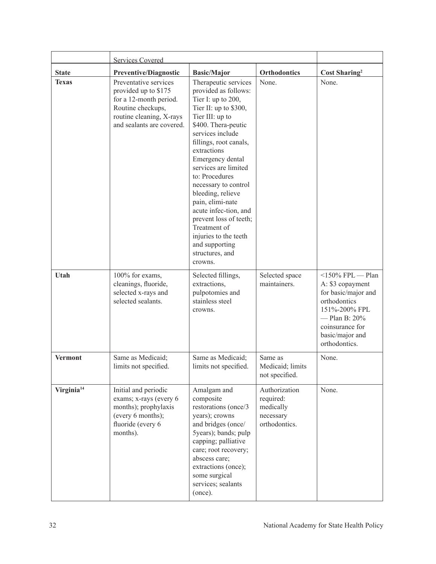|                        | <b>Services Covered</b>                                                                                                                               |                                                                                                                                                                                                                                                                                                                                                                                                                                                                               |                                                                       |                                                                                                                                                                             |
|------------------------|-------------------------------------------------------------------------------------------------------------------------------------------------------|-------------------------------------------------------------------------------------------------------------------------------------------------------------------------------------------------------------------------------------------------------------------------------------------------------------------------------------------------------------------------------------------------------------------------------------------------------------------------------|-----------------------------------------------------------------------|-----------------------------------------------------------------------------------------------------------------------------------------------------------------------------|
| <b>State</b>           | <b>Preventive/Diagnostic</b>                                                                                                                          | <b>Basic/Major</b>                                                                                                                                                                                                                                                                                                                                                                                                                                                            | <b>Orthodontics</b>                                                   | <b>Cost Sharing</b> <sup>2</sup>                                                                                                                                            |
| <b>Texas</b>           | Preventative services<br>provided up to \$175<br>for a 12-month period.<br>Routine checkups,<br>routine cleaning, X-rays<br>and sealants are covered. | Therapeutic services<br>provided as follows:<br>Tier I: up to 200,<br>Tier II: up to \$300,<br>Tier III: up to<br>\$400. Thera-peutic<br>services include<br>fillings, root canals,<br>extractions<br>Emergency dental<br>services are limited<br>to: Procedures<br>necessary to control<br>bleeding, relieve<br>pain, elimi-nate<br>acute infec-tion, and<br>prevent loss of teeth;<br>Treatment of<br>injuries to the teeth<br>and supporting<br>structures, and<br>crowns. | None.                                                                 | None.                                                                                                                                                                       |
| Utah                   | 100% for exams,<br>cleanings, fluoride,<br>selected x-rays and<br>selected sealants.                                                                  | Selected fillings,<br>extractions,<br>pulpotomies and<br>stainless steel<br>crowns.                                                                                                                                                                                                                                                                                                                                                                                           | Selected space<br>maintainers.                                        | $150\%$ FPL - Plan<br>A: \$3 copayment<br>for basic/major and<br>orthodontics<br>151%-200% FPL<br>$-$ Plan B: $20\%$<br>coinsurance for<br>basic/major and<br>orthodontics. |
| <b>Vermont</b>         | Same as Medicaid;<br>limits not specified.                                                                                                            | Same as Medicaid;<br>limits not specified.                                                                                                                                                                                                                                                                                                                                                                                                                                    | Same as<br>Medicaid; limits<br>not specified.                         | None.                                                                                                                                                                       |
| Virginia <sup>14</sup> | Initial and periodic<br>exams; x-rays (every 6)<br>months); prophylaxis<br>(every 6 months);<br>fluoride (every 6<br>months).                         | Amalgam and<br>composite<br>restorations (once/3<br>years); crowns<br>and bridges (once/<br>5years); bands; pulp<br>capping; palliative<br>care; root recovery;<br>abscess care;<br>extractions (once);<br>some surgical<br>services; sealants<br>(once).                                                                                                                                                                                                                     | Authorization<br>required:<br>medically<br>necessary<br>orthodontics. | None.                                                                                                                                                                       |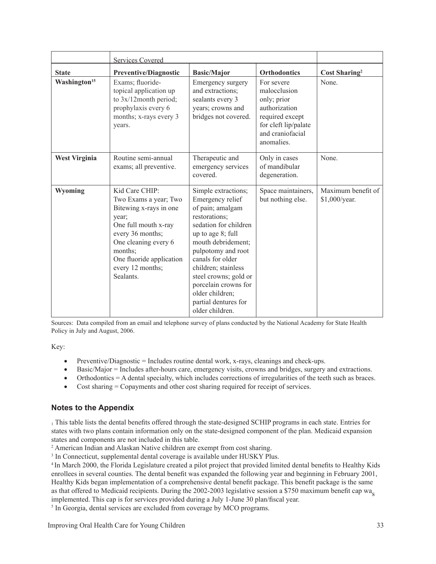|                          | <b>Services Covered</b>                                                                                                                                                                                                |                                                                                                                                                                                                                                                                                                                                  |                                                                                                                                         |                                     |
|--------------------------|------------------------------------------------------------------------------------------------------------------------------------------------------------------------------------------------------------------------|----------------------------------------------------------------------------------------------------------------------------------------------------------------------------------------------------------------------------------------------------------------------------------------------------------------------------------|-----------------------------------------------------------------------------------------------------------------------------------------|-------------------------------------|
| <b>State</b>             | <b>Preventive/Diagnostic</b>                                                                                                                                                                                           | <b>Basic/Major</b>                                                                                                                                                                                                                                                                                                               | <b>Orthodontics</b>                                                                                                                     | Cost Sharing <sup>2</sup>           |
| Washington <sup>15</sup> | Exams; fluoride-<br>topical application up<br>to 3x/12month period;<br>prophylaxis every 6<br>months; x-rays every 3<br>years.                                                                                         | Emergency surgery<br>and extractions:<br>sealants every 3<br>years; crowns and<br>bridges not covered.                                                                                                                                                                                                                           | For severe<br>malocclusion<br>only; prior<br>authorization<br>required except<br>for cleft lip/palate<br>and craniofacial<br>anomalies. | None.                               |
| <b>West Virginia</b>     | Routine semi-annual<br>exams; all preventive.                                                                                                                                                                          | Therapeutic and<br>emergency services<br>covered.                                                                                                                                                                                                                                                                                | Only in cases<br>of mandibular<br>degeneration.                                                                                         | None.                               |
| Wyoming                  | Kid Care CHIP:<br>Two Exams a year; Two<br>Bitewing x-rays in one<br>year;<br>One full mouth x-ray<br>every 36 months;<br>One cleaning every 6<br>months;<br>One fluoride application<br>every 12 months;<br>Sealants. | Simple extractions;<br>Emergency relief<br>of pain; amalgam<br>restorations;<br>sedation for children<br>up to age 8; full<br>mouth debridement;<br>pulpotomy and root<br>canals for older<br>children; stainless<br>steel crowns; gold or<br>porcelain crowns for<br>older children;<br>partial dentures for<br>older children. | Space maintainers,<br>but nothing else.                                                                                                 | Maximum benefit of<br>\$1,000/year. |

Sources: Data compiled from an email and telephone survey of plans conducted by the National Academy for State Health Policy in July and August, 2006.

Key:

- Preventive/Diagnostic  $=$  Includes routine dental work, x-rays, cleanings and check-ups.
- Basic/Major = Includes after-hours care, emergency visits, crowns and bridges, surgery and extractions.
- Orthodontics  $= A$  dental specialty, which includes corrections of irregularities of the teeth such as braces.
- Cost sharing = Copayments and other cost sharing required for receipt of services.

### **Notes to the Appendix**

<sup>1</sup> This table lists the dental benefits offered through the state-designed SCHIP programs in each state. Entries for states with two plans contain information only on the state-designed component of the plan. Medicaid expansion states and components are not included in this table.

<sup>2</sup> American Indian and Alaskan Native children are exempt from cost sharing.

<sup>3</sup> In Connecticut, supplemental dental coverage is available under HUSKY Plus.

<sup>4</sup> In March 2000, the Florida Legislature created a pilot project that provided limited dental benefits to Healthy Kids enrollees in several counties. The dental benefit was expanded the following year and beginning in February 2001, Healthy Kids began implementation of a comprehensive dental benefit package. This benefit package is the same as that offered to Medicaid recipients. During the 2002-2003 legislative session a \$750 maximum benefit cap was implemented. This cap is for services provided during a July 1-June 30 plan/fiscal year.

<sup>5</sup> In Georgia, dental services are excluded from coverage by MCO programs.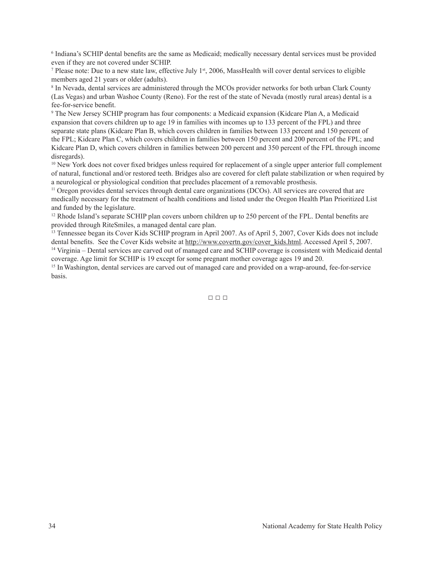6 Indiana's SCHIP dental benefits are the same as Medicaid; medically necessary dental services must be provided even if they are not covered under SCHIP.

<sup>7</sup> Please note: Due to a new state law, effective July  $1<sup>st</sup>$ , 2006, MassHealth will cover dental services to eligible members aged 21 years or older (adults).

<sup>8</sup> In Nevada, dental services are administered through the MCOs provider networks for both urban Clark County (Las Vegas) and urban Washoe County (Reno). For the rest of the state of Nevada (mostly rural areas) dental is a fee-for-service benefit.

<sup>9</sup> The New Jersey SCHIP program has four components: a Medicaid expansion (Kidcare Plan A, a Medicaid expansion that covers children up to age 19 in families with incomes up to 133 percent of the FPL) and three separate state plans (Kidcare Plan B, which covers children in families between 133 percent and 150 percent of the FPL; Kidcare Plan C, which covers children in families between 150 percent and 200 percent of the FPL; and Kidcare Plan D, which covers children in families between 200 percent and 350 percent of the FPL through income disregards).

<sup>10</sup> New York does not cover fixed bridges unless required for replacement of a single upper anterior full complement of natural, functional and/or restored teeth. Bridges also are covered for cleft palate stabilization or when required by a neurological or physiological condition that precludes placement of a removable prosthesis.

<sup>11</sup> Oregon provides dental services through dental care organizations (DCOs). All services are covered that are medically necessary for the treatment of health conditions and listed under the Oregon Health Plan Prioritized List and funded by the legislature.

<sup>12</sup> Rhode Island's separate SCHIP plan covers unborn children up to 250 percent of the FPL. Dental benefits are provided through RiteSmiles, a managed dental care plan.

<sup>13</sup> Tennessee began its Cover Kids SCHIP program in April 2007. As of April 5, 2007, Cover Kids does not include dental benefits. See the Cover Kids website at http://www.covertn.gov/cover\_kids.html. Accessed April 5, 2007.

 $14$  Virginia – Dental services are carved out of managed care and SCHIP coverage is consistent with Medicaid dental coverage. Age limit for SCHIP is 19 except for some pregnant mother coverage ages 19 and 20.

<sup>15</sup> In Washington, dental services are carved out of managed care and provided on a wrap-around, fee-for-service basis.

 $\Box \Box \Box$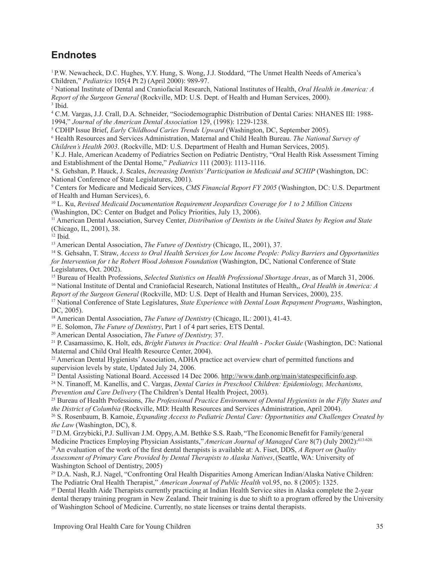### **Endnotes**

<sup>1</sup> P.W. Newacheck, D.C. Hughes, Y.Y. Hung, S. Wong, J.J. Stoddard, "The Unmet Health Needs of America's Children," *Pediatrics* 105(4 Pt 2) (April 2000): 989-97.

<sup>2</sup> National Institute of Dental and Craniofacial Research, National Institutes of Health, *Oral Health in America: A Report of the Surgeon General* (Rockville, MD: U.S. Dept. of Health and Human Services, 2000). <sup>3</sup> Ibid.

4 C.M. Vargas, J.J. Crall, D.A. Schneider, "Sociodemographic Distribution of Dental Caries: NHANES III: 1988- 1994," *Journal of the American Dental Association* 129, (1998): 1229-1238.

<sup>5</sup> CDHP Issue Brief, *Early Childhood Caries Trends Upward* (Washington, DC, September 2005).

<sup>6</sup> Health Resources and Services Administration, Maternal and Child Health Bureau. *The National Survey of*

*Children's Health 2003*. (Rockville, MD: U.S. Department of Health and Human Services, 2005).

7 K.J. Hale, American Academy of Pediatrics Section on Pediatric Dentistry, "Oral Health Risk Assessment Timing and Establishment of the Dental Home," *Pediatrics* 111 (2003): 1113-1116.

<sup>8</sup> S. Gehshan, P. Hauck, J. Scales, *Increasing Dentists'Participation in Medicaid and SCHIP* (Washington, DC: National Conference of State Legislatures, 2001).

<sup>9</sup> Centers for Medicare and Medicaid Services, *CMS Financial Report FY 2005* (Washington, DC: U.S. Department of Health and Human Services), 6.

<sup>10</sup> L. Ku, *Revised Medicaid Documentation Requirement Jeopardizes Coverage for 1 to 2 Million Citizens* (Washington, DC: Center on Budget and Policy Priorities, July 13, 2006).

<sup>11</sup> American Dental Association, Survey Center, *Distribution of Dentists in the United States by Region and State* (Chicago, IL, 2001), 38.

<sup>12</sup> Ibid*.*

<sup>13</sup> American Dental Association, *The Future of Dentistry* (Chicago, IL, 2001), 37.

<sup>14</sup> S. Gehsahn, T. Straw, *Access to Oral Health Services for Low Income People: Policy Barriers and Opportunities for Intervention for t he Robert Wood Johnson Foundation* (Washington, DC, National Conference of State Legislatures, Oct. 2002).

<sup>15</sup> Bureau of Health Professions, *Selected Statistics on Health Professional Shortage Areas*, as of March 31, 2006. <sup>16</sup> National Institute of Dental and Craniofacial Research, National Institutes of Health,, *Oral Health in America: A*

*Report of the Surgeon General* (Rockville, MD: U.S. Dept of Health and Human Services, 2000), 235.

<sup>17</sup> National Conference of State Legislatures, *State Experience with Dental Loan Repayment Programs*, Washington, DC, 2005).

<sup>18</sup> American Dental Association, *The Future of Dentistry* (Chicago, IL: 2001), 41-43.

<sup>19</sup> E. Solomon, *The Future of Dentistry*, Part 1 of 4 part series, ETS Dental.

<sup>20</sup> American Dental Association, *The Future of Dentistry,* 37.

<sup>21</sup> P. Casamassimo, K. Holt, eds, *Bright Futures in Practice: Oral Health - Pocket Guide* (Washington, DC: National Maternal and Child Oral Health Resource Center, 2004).

<sup>22</sup> American Dental Hygienists' Association, ADHA practice act overview chart of permitted functions and supervision levels by state, Updated July 24, 2006.

<sup>23</sup> Dental Assisting National Board. Accessed 14 Dec 2006. http://www.danb.org/main/statespecificinfo.asp.

<sup>24</sup> N. Tinanoff, M. Kanellis, and C. Vargas, *Dental Caries in Preschool Children: Epidemiology, Mechanisms, Prevention and Care Delivery* (The Children's Dental Health Project, 2003).

<sup>25</sup> Bureau of Health Professions, *The Professional Practice Environment of Dental Hygienists in the Fifty States and the District of Columbia* (Rockville, MD: Health Resources and Services Administration, April 2004).

<sup>26</sup> S. Rosenbaum, B. Kamoie, *Expanding Access to Pediatric Dental Care: Opportunities and Challenges Created by the Law* (Washington, DC), 8.

<sup>27</sup> D.M. Grzybicki, P.J. Sullivan<sup>,</sup> J.M. Oppy, A.M. Bethke S.S. Raab, "The Economic Benefit for Family/general Medicine Practices Employing Physician Assistants,"*American Journal of Managed Care* 8(7) (July 2002):613-620.

<sup>28</sup>An evaluation of the work of the first dental therapists is available at: A. Fiset, DDS, *A Report on Quality Assessment of Primary Care Provided by Dental Therapists to Alaska Natives*,(Seattle, WA: University of Washington School of Dentistry, 2005).

<sup>29</sup> D.A. Nash, R.J. Nagel, "Confronting Oral Health Disparities Among American Indian/Alaska Native Children: The Pediatric Oral Health Therapist," *American Journal of Public Health* vol.95, no. 8 (2005): 1325.

<sup>30</sup> Dental Health Aide Therapists currently practicing at Indian Health Service sites in Alaska complete the 2-year dental therapy training program in New Zealand. Their training is due to shift to a program offered by the University of Washington School of Medicine. Currently, no state licenses or trains dental therapists.